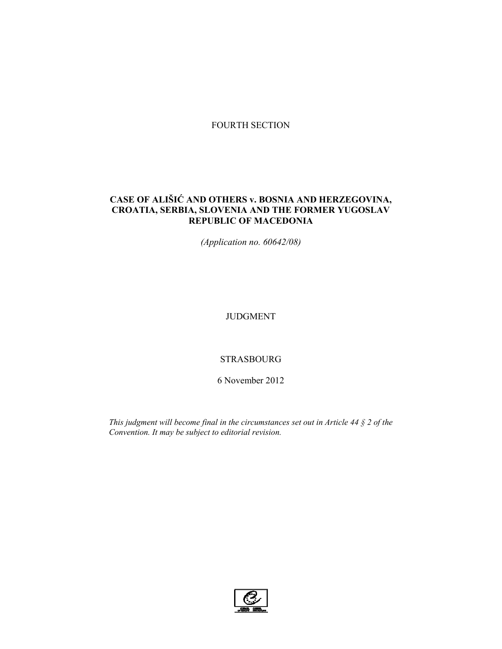# FOURTH SECTION

# **CASE OF ALIŠIĆ AND OTHERS v. BOSNIA AND HERZEGOVINA, CROATIA, SERBIA, SLOVENIA AND THE FORMER YUGOSLAV REPUBLIC OF MACEDONIA**

*(Application no. 60642/08)* 

JUDGMENT

## STRASBOURG

6 November 2012

*This judgment will become final in the circumstances set out in Article 44 § 2 of the Convention. It may be subject to editorial revision.* 

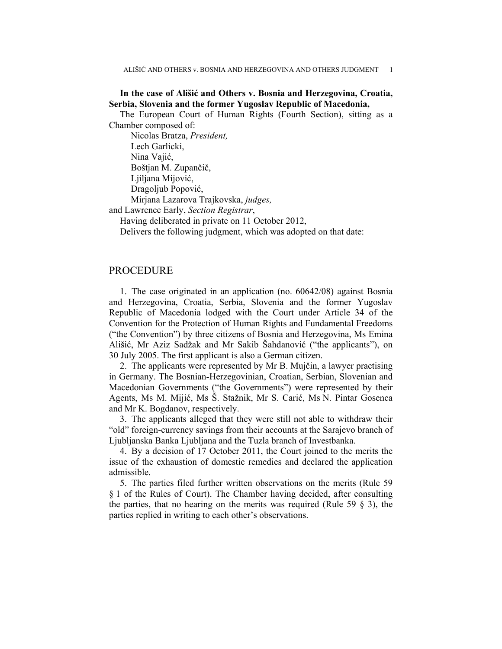## **In the case of Ališić and Others v. Bosnia and Herzegovina, Croatia, Serbia, Slovenia and the former Yugoslav Republic of Macedonia,**

The European Court of Human Rights (Fourth Section), sitting as a Chamber composed of:

 Nicolas Bratza, *President,*  Lech Garlicki, Nina Vajić, Boštjan M. Zupančič, Ljiljana Mijović, Dragoljub Popović, Mirjana Lazarova Trajkovska, *judges,*

and Lawrence Early, *Section Registrar*,

Having deliberated in private on 11 October 2012,

Delivers the following judgment, which was adopted on that date:

## PROCEDURE

1. The case originated in an application (no. 60642/08) against Bosnia and Herzegovina, Croatia, Serbia, Slovenia and the former Yugoslav Republic of Macedonia lodged with the Court under Article 34 of the Convention for the Protection of Human Rights and Fundamental Freedoms ("the Convention") by three citizens of Bosnia and Herzegovina, Ms Emina Ališić, Mr Aziz Sadžak and Mr Sakib Šahdanović ("the applicants"), on 30 July 2005. The first applicant is also a German citizen.

2. The applicants were represented by Mr B. Mujčin, a lawyer practising in Germany. The Bosnian-Herzegovinian, Croatian, Serbian, Slovenian and Macedonian Governments ("the Governments") were represented by their Agents, Ms M. Mijić, Ms Š. Stažnik, Mr S. Carić, Ms N. Pintar Gosenca and Mr K. Bogdanov, respectively.

3. The applicants alleged that they were still not able to withdraw their "old" foreign-currency savings from their accounts at the Sarajevo branch of Ljubljanska Banka Ljubljana and the Tuzla branch of Investbanka.

4. By a decision of 17 October 2011, the Court joined to the merits the issue of the exhaustion of domestic remedies and declared the application admissible.

5. The parties filed further written observations on the merits (Rule 59 § 1 of the Rules of Court). The Chamber having decided, after consulting the parties, that no hearing on the merits was required (Rule 59  $\S$  3), the parties replied in writing to each other's observations.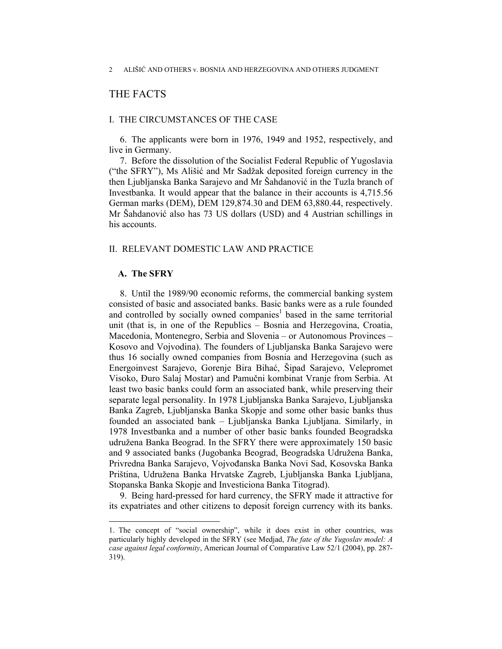# THE FACTS

### I. THE CIRCUMSTANCES OF THE CASE

6. The applicants were born in 1976, 1949 and 1952, respectively, and live in Germany.

7. Before the dissolution of the Socialist Federal Republic of Yugoslavia ("the SFRY"), Ms Ališić and Mr Sadžak deposited foreign currency in the then Ljubljanska Banka Sarajevo and Mr Šahdanović in the Tuzla branch of Investbanka. It would appear that the balance in their accounts is 4,715.56 German marks (DEM), DEM 129,874.30 and DEM 63,880.44, respectively. Mr Šahdanović also has 73 US dollars (USD) and 4 Austrian schillings in his accounts.

### II. RELEVANT DOMESTIC LAW AND PRACTICE

#### **A. The SFRY**

 $\overline{a}$ 

8. Until the 1989/90 economic reforms, the commercial banking system consisted of basic and associated banks. Basic banks were as a rule founded and controlled by socially owned companies<sup>1</sup> based in the same territorial unit (that is, in one of the Republics – Bosnia and Herzegovina, Croatia, Macedonia, Montenegro, Serbia and Slovenia – or Autonomous Provinces – Kosovo and Vojvodina). The founders of Ljubljanska Banka Sarajevo were thus 16 socially owned companies from Bosnia and Herzegovina (such as Energoinvest Sarajevo, Gorenje Bira Bihać, Šipad Sarajevo, Velepromet Visoko, Đuro Salaj Mostar) and Pamučni kombinat Vranje from Serbia. At least two basic banks could form an associated bank, while preserving their separate legal personality. In 1978 Ljubljanska Banka Sarajevo, Ljubljanska Banka Zagreb, Ljubljanska Banka Skopje and some other basic banks thus founded an associated bank – Ljubljanska Banka Ljubljana. Similarly, in 1978 Investbanka and a number of other basic banks founded Beogradska udružena Banka Beograd. In the SFRY there were approximately 150 basic and 9 associated banks (Jugobanka Beograd, Beogradska Udružena Banka, Privredna Banka Sarajevo, Vojvođanska Banka Novi Sad, Kosovska Banka Priština, Udružena Banka Hrvatske Zagreb, Ljubljanska Banka Ljubljana, Stopanska Banka Skopje and Investiciona Banka Titograd).

9. Being hard-pressed for hard currency, the SFRY made it attractive for its expatriates and other citizens to deposit foreign currency with its banks.

<sup>1.</sup> The concept of "social ownership", while it does exist in other countries, was particularly highly developed in the SFRY (see Medjad, *The fate of the Yugoslav model: A case against legal conformity*, American Journal of Comparative Law 52/1 (2004), pp. 287- 319).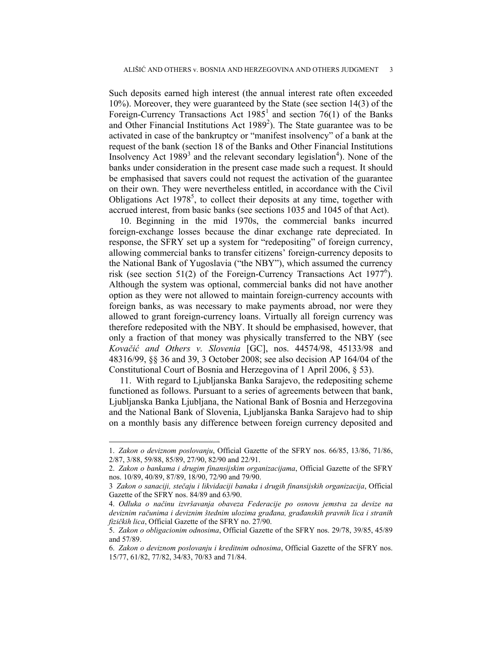Such deposits earned high interest (the annual interest rate often exceeded 10%). Moreover, they were guaranteed by the State (see section 14(3) of the Foreign-Currency Transactions Act  $1985^1$  and section 76(1) of the Banks and Other Financial Institutions Act  $1989<sup>2</sup>$ ). The State guarantee was to be activated in case of the bankruptcy or "manifest insolvency" of a bank at the request of the bank (section 18 of the Banks and Other Financial Institutions Insolvency Act  $1989^3$  and the relevant secondary legislation<sup>4</sup>). None of the banks under consideration in the present case made such a request. It should be emphasised that savers could not request the activation of the guarantee on their own. They were nevertheless entitled, in accordance with the Civil Obligations Act  $1978^5$ , to collect their deposits at any time, together with accrued interest, from basic banks (see sections 1035 and 1045 of that Act).

10. Beginning in the mid 1970s, the commercial banks incurred foreign-exchange losses because the dinar exchange rate depreciated. In response, the SFRY set up a system for "redepositing" of foreign currency, allowing commercial banks to transfer citizens' foreign-currency deposits to the National Bank of Yugoslavia ("the NBY"), which assumed the currency risk (see section 51(2) of the Foreign-Currency Transactions Act 1977<sup>6</sup>). Although the system was optional, commercial banks did not have another option as they were not allowed to maintain foreign-currency accounts with foreign banks, as was necessary to make payments abroad, nor were they allowed to grant foreign-currency loans. Virtually all foreign currency was therefore redeposited with the NBY. It should be emphasised, however, that only a fraction of that money was physically transferred to the NBY (see *Kovačić and Others v. Slovenia* [GC], nos. 44574/98, 45133/98 and 48316/99, §§ 36 and 39, 3 October 2008; see also decision AP 164/04 of the Constitutional Court of Bosnia and Herzegovina of 1 April 2006, § 53).

11. With regard to Ljubljanska Banka Sarajevo, the redepositing scheme functioned as follows. Pursuant to a series of agreements between that bank, Ljubljanska Banka Ljubljana, the National Bank of Bosnia and Herzegovina and the National Bank of Slovenia, Ljubljanska Banka Sarajevo had to ship on a monthly basis any difference between foreign currency deposited and

 $\overline{a}$ 

<sup>1.</sup> *Zakon o deviznom poslovanju*, Official Gazette of the SFRY nos. 66/85, 13/86, 71/86, 2/87, 3/88, 59/88, 85/89, 27/90, 82/90 and 22/91.

<sup>2.</sup> *Zakon o bankama i drugim finansijskim organizacijama*, Official Gazette of the SFRY nos. 10/89, 40/89, 87/89, 18/90, 72/90 and 79/90.

<sup>3</sup> *Zakon o sanaciji, stečaju i likvidaciji banaka i drugih finansijskih organizacija*, Official Gazette of the SFRY nos. 84/89 and 63/90.

<sup>4.</sup> *Odluka o načinu izvršavanja obaveza Federacije po osnovu jemstva za devize na deviznim računima i deviznim štednim ulozima građana, građanskih pravnih lica i stranih fizičkih lica*, Official Gazette of the SFRY no. 27/90.

<sup>5.</sup> *Zakon o obligacionim odnosima*, Official Gazette of the SFRY nos. 29/78, 39/85, 45/89 and 57/89.

<sup>6.</sup> *Zakon o deviznom poslovanju i kreditnim odnosima*, Official Gazette of the SFRY nos. 15/77, 61/82, 77/82, 34/83, 70/83 and 71/84.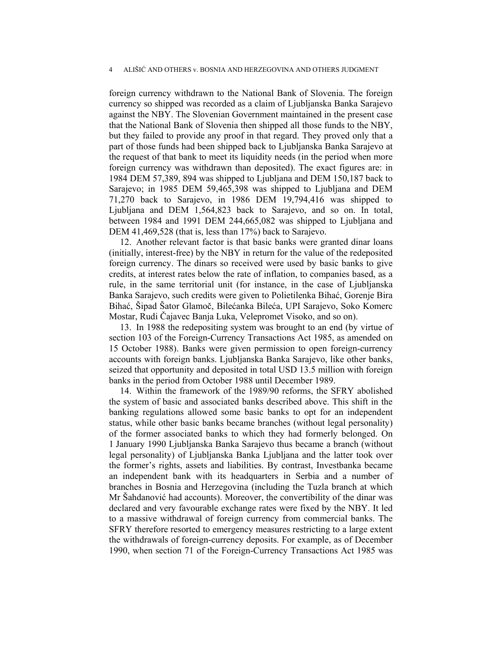foreign currency withdrawn to the National Bank of Slovenia. The foreign currency so shipped was recorded as a claim of Ljubljanska Banka Sarajevo against the NBY. The Slovenian Government maintained in the present case that the National Bank of Slovenia then shipped all those funds to the NBY, but they failed to provide any proof in that regard. They proved only that a part of those funds had been shipped back to Ljubljanska Banka Sarajevo at the request of that bank to meet its liquidity needs (in the period when more foreign currency was withdrawn than deposited). The exact figures are: in 1984 DEM 57,389, 894 was shipped to Ljubljana and DEM 150,187 back to Sarajevo; in 1985 DEM 59,465,398 was shipped to Ljubljana and DEM 71,270 back to Sarajevo, in 1986 DEM 19,794,416 was shipped to Ljubljana and DEM 1,564,823 back to Sarajevo, and so on. In total, between 1984 and 1991 DEM 244,665,082 was shipped to Ljubljana and DEM 41,469,528 (that is, less than 17%) back to Sarajevo.

12. Another relevant factor is that basic banks were granted dinar loans (initially, interest-free) by the NBY in return for the value of the redeposited foreign currency. The dinars so received were used by basic banks to give credits, at interest rates below the rate of inflation, to companies based, as a rule, in the same territorial unit (for instance, in the case of Ljubljanska Banka Sarajevo, such credits were given to Polietilenka Bihać, Gorenje Bira Bihać, Šipad Šator Glamoč, Bilećanka Bileća, UPI Sarajevo, Soko Komerc Mostar, Rudi Čajavec Banja Luka, Velepromet Visoko, and so on).

13. In 1988 the redepositing system was brought to an end (by virtue of section 103 of the Foreign-Currency Transactions Act 1985, as amended on 15 October 1988). Banks were given permission to open foreign-currency accounts with foreign banks. Ljubljanska Banka Sarajevo, like other banks, seized that opportunity and deposited in total USD 13.5 million with foreign banks in the period from October 1988 until December 1989.

14. Within the framework of the 1989/90 reforms, the SFRY abolished the system of basic and associated banks described above. This shift in the banking regulations allowed some basic banks to opt for an independent status, while other basic banks became branches (without legal personality) of the former associated banks to which they had formerly belonged. On 1 January 1990 Ljubljanska Banka Sarajevo thus became a branch (without legal personality) of Ljubljanska Banka Ljubljana and the latter took over the former's rights, assets and liabilities. By contrast, Investbanka became an independent bank with its headquarters in Serbia and a number of branches in Bosnia and Herzegovina (including the Tuzla branch at which Mr Šahdanović had accounts). Moreover, the convertibility of the dinar was declared and very favourable exchange rates were fixed by the NBY. It led to a massive withdrawal of foreign currency from commercial banks. The SFRY therefore resorted to emergency measures restricting to a large extent the withdrawals of foreign-currency deposits. For example, as of December 1990, when section 71 of the Foreign-Currency Transactions Act 1985 was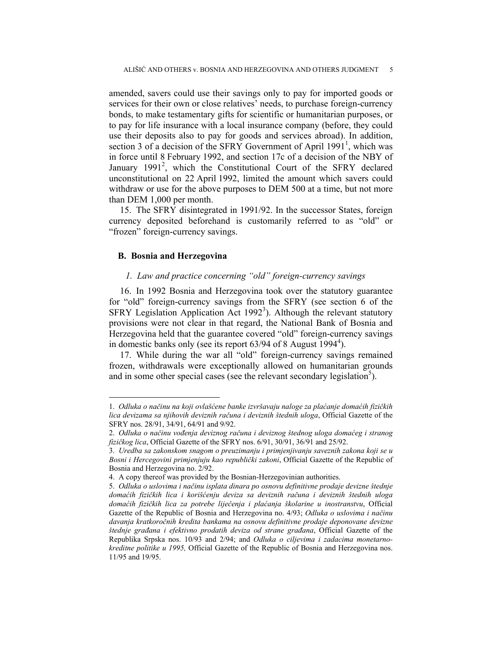amended, savers could use their savings only to pay for imported goods or services for their own or close relatives' needs, to purchase foreign-currency bonds, to make testamentary gifts for scientific or humanitarian purposes, or to pay for life insurance with a local insurance company (before, they could use their deposits also to pay for goods and services abroad). In addition, section 3 of a decision of the SFRY Government of April 1991<sup>1</sup>, which was in force until 8 February 1992, and section 17c of a decision of the NBY of January 1991<sup>2</sup>, which the Constitutional Court of the SFRY declared unconstitutional on 22 April 1992, limited the amount which savers could withdraw or use for the above purposes to DEM 500 at a time, but not more than DEM 1,000 per month.

15. The SFRY disintegrated in 1991/92. In the successor States, foreign currency deposited beforehand is customarily referred to as "old" or "frozen" foreign-currency savings.

## **B. Bosnia and Herzegovina**

 $\overline{a}$ 

## *1. Law and practice concerning "old" foreign-currency savings*

16. In 1992 Bosnia and Herzegovina took over the statutory guarantee for "old" foreign-currency savings from the SFRY (see section 6 of the SFRY Legislation Application Act  $1992<sup>3</sup>$ ). Although the relevant statutory provisions were not clear in that regard, the National Bank of Bosnia and Herzegovina held that the guarantee covered "old" foreign-currency savings in domestic banks only (see its report  $63/94$  of 8 August 1994<sup>4</sup>).

17. While during the war all "old" foreign-currency savings remained frozen, withdrawals were exceptionally allowed on humanitarian grounds and in some other special cases (see the relevant secondary legislation<sup>5</sup>).

<sup>1.</sup> *Odluka o načinu na koji ovlašćene banke izvršavaju naloge za plaćanje domaćih fizičkih lica devizama sa njihovih deviznih računa i deviznih štednih uloga*, Official Gazette of the SFRY nos. 28/91, 34/91, 64/91 and 9/92.

<sup>2.</sup> *Odluka o načinu vođenja deviznog računa i deviznog štednog uloga domaćeg i stranog fizičkog lica*, Official Gazette of the SFRY nos. 6/91, 30/91, 36/91 and 25/92.

<sup>3.</sup> *Uredba sa zakonskom snagom o preuzimanju i primjenjivanju saveznih zakona koji se u Bosni i Hercegovini primjenjuju kao republički zakoni*, Official Gazette of the Republic of Bosnia and Herzegovina no. 2/92.

<sup>4.</sup> A copy thereof was provided by the Bosnian-Herzegovinian authorities.

<sup>5.</sup> *Odluka o uslovima i načinu isplata dinara po osnovu definitivne prodaje devizne štednje domaćih fizičkih lica i korišćenju deviza sa deviznih računa i deviznih štednih uloga domaćih fizičkih lica za potrebe liječenja i plaćanja školarine u inostranstvu*, Official Gazette of the Republic of Bosnia and Herzegovina no. 4/93; *Odluka o uslovima i načinu davanja kratkoročnih kredita bankama na osnovu definitivne prodaje deponovane devizne štednje građana i efektivno prodatih deviza od strane građana*, Official Gazette of the Republika Srpska nos. 10/93 and 2/94; and *Odluka o ciljevima i zadacima monetarnokreditne politike u 1995,* Official Gazette of the Republic of Bosnia and Herzegovina nos. 11/95 and 19/95.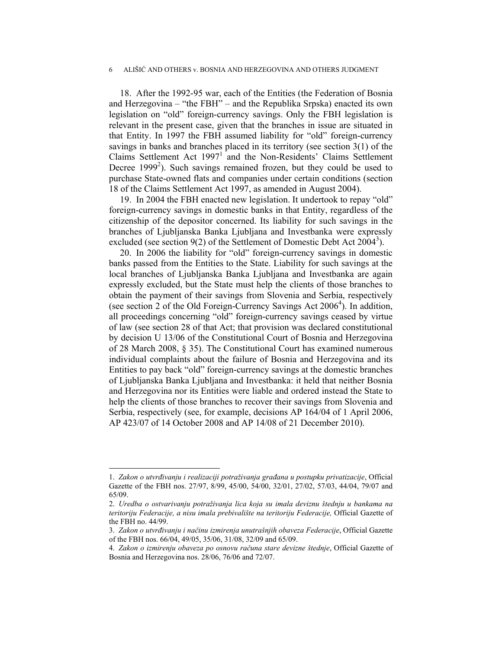18. After the 1992-95 war, each of the Entities (the Federation of Bosnia and Herzegovina – "the FBH" – and the Republika Srpska) enacted its own legislation on "old" foreign-currency savings. Only the FBH legislation is relevant in the present case, given that the branches in issue are situated in that Entity. In 1997 the FBH assumed liability for "old" foreign-currency savings in banks and branches placed in its territory (see section 3(1) of the Claims Settlement Act 1997<sup>1</sup> and the Non-Residents' Claims Settlement Decree  $1999<sup>2</sup>$ ). Such savings remained frozen, but they could be used to purchase State-owned flats and companies under certain conditions (section 18 of the Claims Settlement Act 1997, as amended in August 2004).

19. In 2004 the FBH enacted new legislation. It undertook to repay "old" foreign-currency savings in domestic banks in that Entity, regardless of the citizenship of the depositor concerned. Its liability for such savings in the branches of Ljubljanska Banka Ljubljana and Investbanka were expressly excluded (see section 9(2) of the Settlement of Domestic Debt Act  $2004^3$ ).

20. In 2006 the liability for "old" foreign-currency savings in domestic banks passed from the Entities to the State. Liability for such savings at the local branches of Ljubljanska Banka Ljubljana and Investbanka are again expressly excluded, but the State must help the clients of those branches to obtain the payment of their savings from Slovenia and Serbia, respectively (see section 2 of the Old Foreign-Currency Savings Act  $2006<sup>4</sup>$ ). In addition, all proceedings concerning "old" foreign-currency savings ceased by virtue of law (see section 28 of that Act; that provision was declared constitutional by decision U 13/06 of the Constitutional Court of Bosnia and Herzegovina of 28 March 2008, § 35). The Constitutional Court has examined numerous individual complaints about the failure of Bosnia and Herzegovina and its Entities to pay back "old" foreign-currency savings at the domestic branches of Ljubljanska Banka Ljubljana and Investbanka: it held that neither Bosnia and Herzegovina nor its Entities were liable and ordered instead the State to help the clients of those branches to recover their savings from Slovenia and Serbia, respectively (see, for example, decisions AP 164/04 of 1 April 2006, AP 423/07 of 14 October 2008 and AP 14/08 of 21 December 2010).

 $\overline{a}$ 

<sup>1.</sup> *Zakon o utvrđivanju i realizaciji potraživanja građana u postupku privatizacije*, Official Gazette of the FBH nos. 27/97, 8/99, 45/00, 54/00, 32/01, 27/02, 57/03, 44/04, 79/07 and 65/09.

<sup>2.</sup> *Uredba o ostvarivanju potraživanja lica koja su imala deviznu štednju u bankama na teritoriju Federacije, a nisu imala prebivalište na teritoriju Federacije,* Official Gazette of the FBH no. 44/99.

<sup>3.</sup> *Zakon o utvrđivanju i načinu izmirenja unutrašnjih obaveza Federacije*, Official Gazette of the FBH nos. 66/04, 49/05, 35/06, 31/08, 32/09 and 65/09.

<sup>4.</sup> *Zakon o izmirenju obaveza po osnovu računa stare devizne štednje*, Official Gazette of Bosnia and Herzegovina nos. 28/06, 76/06 and 72/07.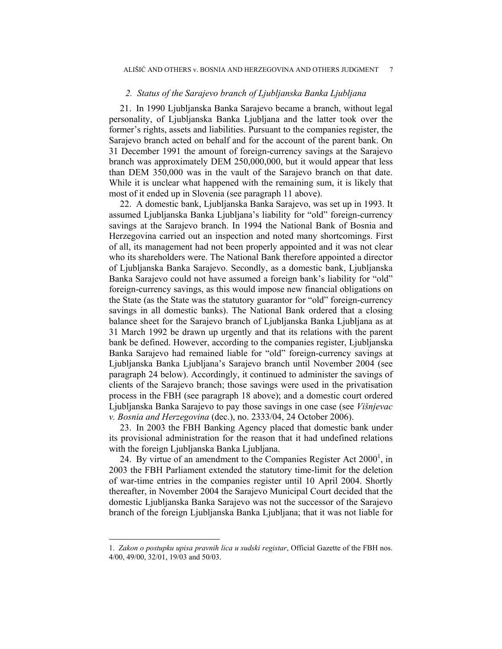#### *2. Status of the Sarajevo branch of Ljubljanska Banka Ljubljana*

21. In 1990 Ljubljanska Banka Sarajevo became a branch, without legal personality, of Ljubljanska Banka Ljubljana and the latter took over the former's rights, assets and liabilities. Pursuant to the companies register, the Sarajevo branch acted on behalf and for the account of the parent bank. On 31 December 1991 the amount of foreign-currency savings at the Sarajevo branch was approximately DEM 250,000,000, but it would appear that less than DEM 350,000 was in the vault of the Sarajevo branch on that date. While it is unclear what happened with the remaining sum, it is likely that most of it ended up in Slovenia (see paragraph 11 above).

22. A domestic bank, Ljubljanska Banka Sarajevo, was set up in 1993. It assumed Ljubljanska Banka Ljubljana's liability for "old" foreign-currency savings at the Sarajevo branch. In 1994 the National Bank of Bosnia and Herzegovina carried out an inspection and noted many shortcomings. First of all, its management had not been properly appointed and it was not clear who its shareholders were. The National Bank therefore appointed a director of Ljubljanska Banka Sarajevo. Secondly, as a domestic bank, Ljubljanska Banka Sarajevo could not have assumed a foreign bank's liability for "old" foreign-currency savings, as this would impose new financial obligations on the State (as the State was the statutory guarantor for "old" foreign-currency savings in all domestic banks). The National Bank ordered that a closing balance sheet for the Sarajevo branch of Ljubljanska Banka Ljubljana as at 31 March 1992 be drawn up urgently and that its relations with the parent bank be defined. However, according to the companies register, Ljubljanska Banka Sarajevo had remained liable for "old" foreign-currency savings at Ljubljanska Banka Ljubljana's Sarajevo branch until November 2004 (see paragraph 24 below). Accordingly, it continued to administer the savings of clients of the Sarajevo branch; those savings were used in the privatisation process in the FBH (see paragraph 18 above); and a domestic court ordered Ljubljanska Banka Sarajevo to pay those savings in one case (see *Višnjevac v. Bosnia and Herzegovina* (dec.), no. 2333/04, 24 October 2006).

23. In 2003 the FBH Banking Agency placed that domestic bank under its provisional administration for the reason that it had undefined relations with the foreign Ljubljanska Banka Ljubljana.

24. By virtue of an amendment to the Companies Register Act  $2000^1$ , in 2003 the FBH Parliament extended the statutory time-limit for the deletion of war-time entries in the companies register until 10 April 2004. Shortly thereafter, in November 2004 the Sarajevo Municipal Court decided that the domestic Ljubljanska Banka Sarajevo was not the successor of the Sarajevo branch of the foreign Ljubljanska Banka Ljubljana; that it was not liable for

 $\overline{a}$ 

<sup>1.</sup> *Zakon o postupku upisa pravnih lica u sudski registar*, Official Gazette of the FBH nos. 4/00, 49/00, 32/01, 19/03 and 50/03.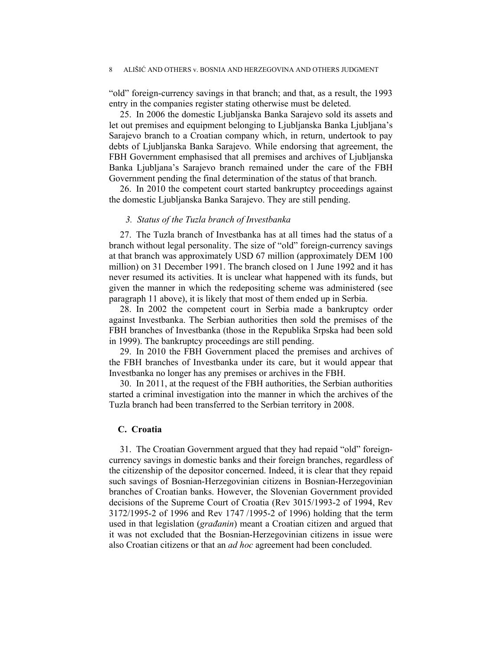"old" foreign-currency savings in that branch; and that, as a result, the 1993 entry in the companies register stating otherwise must be deleted.

25. In 2006 the domestic Ljubljanska Banka Sarajevo sold its assets and let out premises and equipment belonging to Ljubljanska Banka Ljubljana's Sarajevo branch to a Croatian company which, in return, undertook to pay debts of Ljubljanska Banka Sarajevo. While endorsing that agreement, the FBH Government emphasised that all premises and archives of Ljubljanska Banka Ljubljana's Sarajevo branch remained under the care of the FBH Government pending the final determination of the status of that branch.

26. In 2010 the competent court started bankruptcy proceedings against the domestic Ljubljanska Banka Sarajevo. They are still pending.

### *3. Status of the Tuzla branch of Investbanka*

27. The Tuzla branch of Investbanka has at all times had the status of a branch without legal personality. The size of "old" foreign-currency savings at that branch was approximately USD 67 million (approximately DEM 100 million) on 31 December 1991. The branch closed on 1 June 1992 and it has never resumed its activities. It is unclear what happened with its funds, but given the manner in which the redepositing scheme was administered (see paragraph 11 above), it is likely that most of them ended up in Serbia.

28. In 2002 the competent court in Serbia made a bankruptcy order against Investbanka. The Serbian authorities then sold the premises of the FBH branches of Investbanka (those in the Republika Srpska had been sold in 1999). The bankruptcy proceedings are still pending.

29. In 2010 the FBH Government placed the premises and archives of the FBH branches of Investbanka under its care, but it would appear that Investbanka no longer has any premises or archives in the FBH.

30. In 2011, at the request of the FBH authorities, the Serbian authorities started a criminal investigation into the manner in which the archives of the Tuzla branch had been transferred to the Serbian territory in 2008.

#### **C. Croatia**

31. The Croatian Government argued that they had repaid "old" foreigncurrency savings in domestic banks and their foreign branches, regardless of the citizenship of the depositor concerned. Indeed, it is clear that they repaid such savings of Bosnian-Herzegovinian citizens in Bosnian-Herzegovinian branches of Croatian banks. However, the Slovenian Government provided decisions of the Supreme Court of Croatia (Rev 3015/1993-2 of 1994, Rev 3172/1995-2 of 1996 and Rev 1747 /1995-2 of 1996) holding that the term used in that legislation (*građanin*) meant a Croatian citizen and argued that it was not excluded that the Bosnian-Herzegovinian citizens in issue were also Croatian citizens or that an *ad hoc* agreement had been concluded.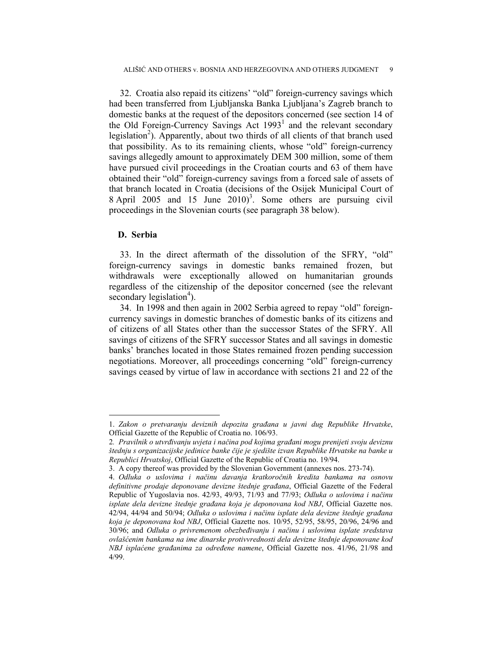32. Croatia also repaid its citizens' "old" foreign-currency savings which had been transferred from Ljubljanska Banka Ljubljana's Zagreb branch to domestic banks at the request of the depositors concerned (see section 14 of the Old Foreign-Currency Savings Act  $1993<sup>1</sup>$  and the relevant secondary legislation<sup>2</sup>). Apparently, about two thirds of all clients of that branch used that possibility. As to its remaining clients, whose "old" foreign-currency savings allegedly amount to approximately DEM 300 million, some of them have pursued civil proceedings in the Croatian courts and 63 of them have obtained their "old" foreign-currency savings from a forced sale of assets of that branch located in Croatia (decisions of the Osijek Municipal Court of 8 April 2005 and 15 June  $2010$ <sup>3</sup>. Some others are pursuing civil proceedings in the Slovenian courts (see paragraph 38 below).

## **D. Serbia**

 $\overline{a}$ 

33. In the direct aftermath of the dissolution of the SFRY, "old" foreign-currency savings in domestic banks remained frozen, but withdrawals were exceptionally allowed on humanitarian grounds regardless of the citizenship of the depositor concerned (see the relevant secondary legislation<sup>4</sup>).

34. In 1998 and then again in 2002 Serbia agreed to repay "old" foreigncurrency savings in domestic branches of domestic banks of its citizens and of citizens of all States other than the successor States of the SFRY. All savings of citizens of the SFRY successor States and all savings in domestic banks' branches located in those States remained frozen pending succession negotiations. Moreover, all proceedings concerning "old" foreign-currency savings ceased by virtue of law in accordance with sections 21 and 22 of the

<sup>1.</sup> *Zakon o pretvaranju deviznih depozita građana u javni dug Republike Hrvatske*, Official Gazette of the Republic of Croatia no. 106/93.

<sup>2</sup>*. Pravilnik o utvrđivanju uvjeta i načina pod kojima građani mogu prenijeti svoju deviznu štednju s organizacijske jedinice banke čije je sjedište izvan Republike Hrvatske na banke u Republici Hrvatskoj*, Official Gazette of the Republic of Croatia no. 19/94.

<sup>3.</sup> A copy thereof was provided by the Slovenian Government (annexes nos. 273-74).

<sup>4.</sup> *Odluka o uslovima i načinu davanja kratkoročnih kredita bankama na osnovu definitivne prodaje deponovane devizne štednje građana*, Official Gazette of the Federal Republic of Yugoslavia nos. 42/93, 49/93, 71/93 and 77/93; *Odluka o uslovima i načinu isplate dela devizne štednje građana koja je deponovana kod NBJ*, Official Gazette nos. 42/94, 44/94 and 50/94; *Odluka o uslovima i načinu isplate dela devizne štednje građana koja je deponovana kod NBJ*, Official Gazette nos. 10/95, 52/95, 58/95, 20/96, 24/96 and 30/96; and *Odluka o privremenom obezbeđivanju i načinu i uslovima isplate sredstava ovlašćenim bankama na ime dinarske protivvrednosti dela devizne štednje deponovane kod NBJ isplaćene građanima za određene namene*, Official Gazette nos. 41/96, 21/98 and 4/99.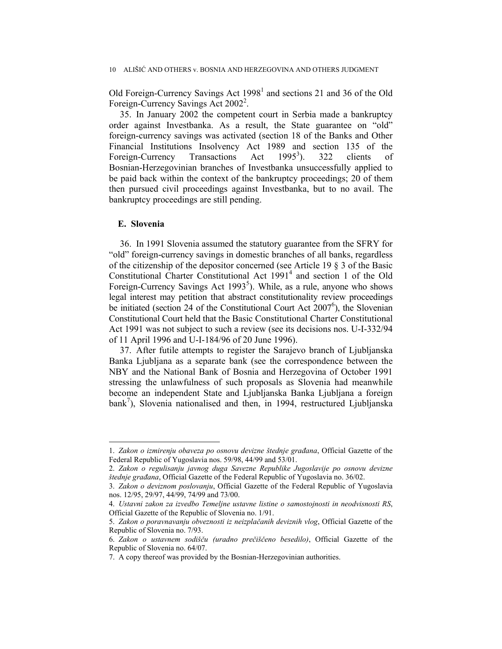Old Foreign-Currency Savings Act  $1998<sup>1</sup>$  and sections 21 and 36 of the Old Foreign-Currency Savings Act 2002<sup>2</sup>.

35. In January 2002 the competent court in Serbia made a bankruptcy order against Investbanka. As a result, the State guarantee on "old" foreign-currency savings was activated (section 18 of the Banks and Other Financial Institutions Insolvency Act 1989 and section 135 of the Foreign-Currency Transactions Act  $1995^3$ ). ). 322 clients of Bosnian-Herzegovinian branches of Investbanka unsuccessfully applied to be paid back within the context of the bankruptcy proceedings; 20 of them then pursued civil proceedings against Investbanka, but to no avail. The bankruptcy proceedings are still pending.

## **E. Slovenia**

 $\overline{a}$ 

36. In 1991 Slovenia assumed the statutory guarantee from the SFRY for "old" foreign-currency savings in domestic branches of all banks, regardless of the citizenship of the depositor concerned (see Article 19 § 3 of the Basic Constitutional Charter Constitutional Act 1991<sup>4</sup> and section 1 of the Old Foreign-Currency Savings Act  $1993<sup>5</sup>$ ). While, as a rule, anyone who shows legal interest may petition that abstract constitutionality review proceedings be initiated (section 24 of the Constitutional Court Act 2007<sup>6</sup>), the Slovenian Constitutional Court held that the Basic Constitutional Charter Constitutional Act 1991 was not subject to such a review (see its decisions nos. U-I-332/94 of 11 April 1996 and U-I-184/96 of 20 June 1996).

37. After futile attempts to register the Sarajevo branch of Ljubljanska Banka Ljubljana as a separate bank (see the correspondence between the NBY and the National Bank of Bosnia and Herzegovina of October 1991 stressing the unlawfulness of such proposals as Slovenia had meanwhile become an independent State and Ljubljanska Banka Ljubljana a foreign  $bank^7$ ), Slovenia nationalised and then, in 1994, restructured Ljubljanska

<sup>1.</sup> *Zakon o izmirenju obaveza po osnovu devizne štednje građana*, Official Gazette of the Federal Republic of Yugoslavia nos. 59/98, 44/99 and 53/01.

<sup>2.</sup> *Zakon o regulisanju javnog duga Savezne Republike Jugoslavije po osnovu devizne štednje građana*, Official Gazette of the Federal Republic of Yugoslavia no. 36/02.

<sup>3.</sup> *Zakon o deviznom poslovanju*, Official Gazette of the Federal Republic of Yugoslavia nos. 12/95, 29/97, 44/99, 74/99 and 73/00.

<sup>4.</sup> *Ustavni zakon za izvedbo Temeljne ustavne listine o samostojnosti in neodvisnosti RS*, Official Gazette of the Republic of Slovenia no. 1/91.

<sup>5.</sup> *Zakon o poravnavanju obveznosti iz neizplačanih deviznih vlog*, Official Gazette of the Republic of Slovenia no. 7/93.

<sup>6.</sup> *Zakon o ustavnem sodišču (uradno prečiščeno besedilo)*, Official Gazette of the Republic of Slovenia no. 64/07.

<sup>7.</sup> A copy thereof was provided by the Bosnian-Herzegovinian authorities.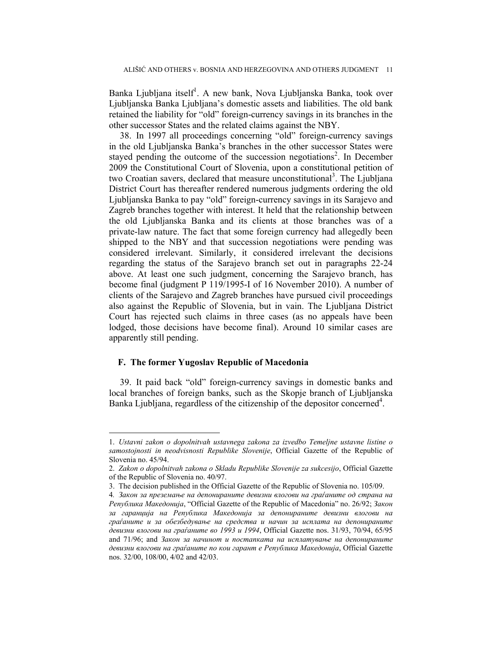Banka Ljubljana itself<sup>1</sup>. A new bank, Nova Ljubljanska Banka, took over Ljubljanska Banka Ljubljana's domestic assets and liabilities. The old bank retained the liability for "old" foreign-currency savings in its branches in the other successor States and the related claims against the NBY.

38. In 1997 all proceedings concerning "old" foreign-currency savings in the old Ljubljanska Banka's branches in the other successor States were stayed pending the outcome of the succession negotiations<sup>2</sup>. In December 2009 the Constitutional Court of Slovenia, upon a constitutional petition of two Croatian savers, declared that measure unconstitutional<sup>3</sup>. The Ljubljana District Court has thereafter rendered numerous judgments ordering the old Ljubljanska Banka to pay "old" foreign-currency savings in its Sarajevo and Zagreb branches together with interest. It held that the relationship between the old Ljubljanska Banka and its clients at those branches was of a private-law nature. The fact that some foreign currency had allegedly been shipped to the NBY and that succession negotiations were pending was considered irrelevant. Similarly, it considered irrelevant the decisions regarding the status of the Sarajevo branch set out in paragraphs 22-24 above. At least one such judgment, concerning the Sarajevo branch, has become final (judgment P 119/1995-I of 16 November 2010). A number of clients of the Sarajevo and Zagreb branches have pursued civil proceedings also against the Republic of Slovenia, but in vain. The Ljubljana District Court has rejected such claims in three cases (as no appeals have been lodged, those decisions have become final). Around 10 similar cases are apparently still pending.

## **F. The former Yugoslav Republic of Macedonia**

 $\overline{a}$ 

39. It paid back "old" foreign-currency savings in domestic banks and local branches of foreign banks, such as the Skopje branch of Ljubljanska Banka Ljubljana, regardless of the citizenship of the depositor concerned<sup>4</sup>.

<sup>1.</sup> *Ustavni zakon o dopolnitvah ustavnega zakona za izvedbo Temeljne ustavne listine o samostojnosti in neodvisnosti Republike Slovenije*, Official Gazette of the Republic of Slovenia no. 45/94.

<sup>2.</sup> *Zakon o dopolnitvah zakona o Skladu Republike Slovenije za sukcesijo*, Official Gazette of the Republic of Slovenia no. 40/97.

<sup>3.</sup> The decision published in the Official Gazette of the Republic of Slovenia no. 105/09.

<sup>4</sup>*. Закон за преземање на депонираните девизни влогови на граѓаните од страна на Република Македонија*, "Official Gazette of the Republic of Macedonia" no. 26/92; *Закон за гаранција на Република Македонија за депонираните девизни влогови на граѓаните и за обезбедување на средства и начин за исплата на депонираните девизни влогови на граѓаните во 1993 и 1994*, Official Gazette nos. 31/93, 70/94, 65/95 and 71/96; and *Закон за начинот и постапката на исплатување на депонираните девизни влогови на граѓаните по кои гарант е Република Македонија*, Official Gazette nos. 32/00, 108/00, 4/02 and 42/03.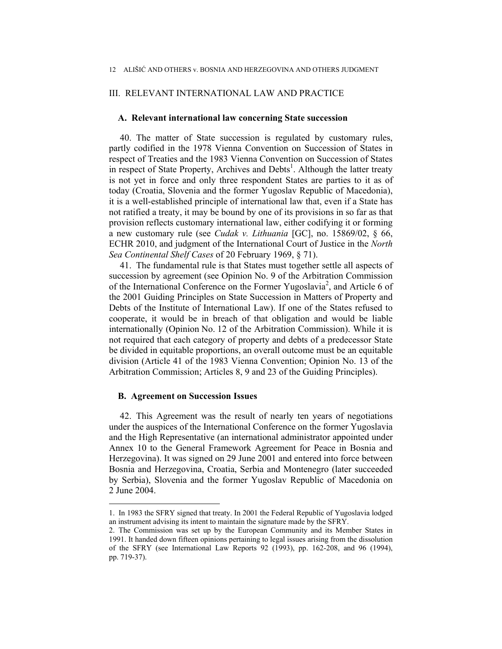## III. RELEVANT INTERNATIONAL LAW AND PRACTICE

### **A. Relevant international law concerning State succession**

40. The matter of State succession is regulated by customary rules, partly codified in the 1978 Vienna Convention on Succession of States in respect of Treaties and the 1983 Vienna Convention on Succession of States in respect of State Property, Archives and Debts<sup>1</sup>. Although the latter treaty is not yet in force and only three respondent States are parties to it as of today (Croatia, Slovenia and the former Yugoslav Republic of Macedonia), it is a well-established principle of international law that, even if a State has not ratified a treaty, it may be bound by one of its provisions in so far as that provision reflects customary international law, either codifying it or forming a new customary rule (see *Cudak v. Lithuania* [GC], no. 15869/02, § 66, ECHR 2010, and judgment of the International Court of Justice in the *North Sea Continental Shelf Cases* of 20 February 1969, § 71).

41. The fundamental rule is that States must together settle all aspects of succession by agreement (see Opinion No. 9 of the Arbitration Commission of the International Conference on the Former Yugoslavia<sup>2</sup>, and Article 6 of the 2001 Guiding Principles on State Succession in Matters of Property and Debts of the Institute of International Law). If one of the States refused to cooperate, it would be in breach of that obligation and would be liable internationally (Opinion No. 12 of the Arbitration Commission). While it is not required that each category of property and debts of a predecessor State be divided in equitable proportions, an overall outcome must be an equitable division (Article 41 of the 1983 Vienna Convention; Opinion No. 13 of the Arbitration Commission; Articles 8, 9 and 23 of the Guiding Principles).

# **B. Agreement on Succession Issues**

42. This Agreement was the result of nearly ten years of negotiations under the auspices of the International Conference on the former Yugoslavia and the High Representative (an international administrator appointed under Annex 10 to the General Framework Agreement for Peace in Bosnia and Herzegovina). It was signed on 29 June 2001 and entered into force between Bosnia and Herzegovina, Croatia, Serbia and Montenegro (later succeeded by Serbia), Slovenia and the former Yugoslav Republic of Macedonia on 2 June 2004.

<sup>1.</sup> In 1983 the SFRY signed that treaty. In 2001 the Federal Republic of Yugoslavia lodged an instrument advising its intent to maintain the signature made by the SFRY.

<sup>2.</sup> The Commission was set up by the European Community and its Member States in 1991. It handed down fifteen opinions pertaining to legal issues arising from the dissolution of the SFRY (see International Law Reports 92 (1993), pp. 162-208, and 96 (1994), pp. 719-37).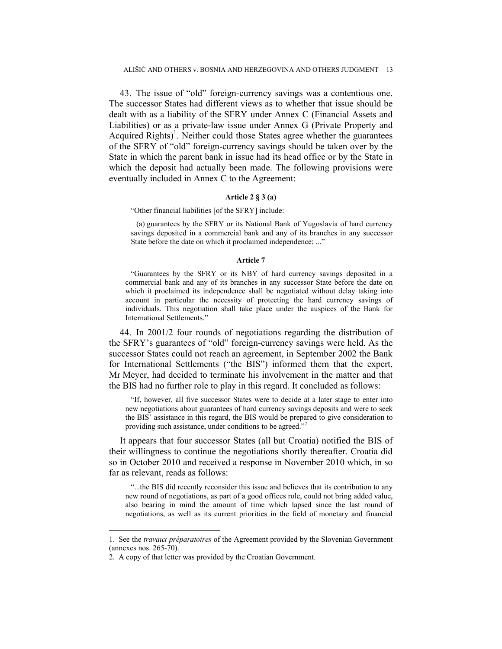43. The issue of "old" foreign-currency savings was a contentious one. The successor States had different views as to whether that issue should be dealt with as a liability of the SFRY under Annex C (Financial Assets and Liabilities) or as a private-law issue under Annex G (Private Property and Acquired  $\text{Right}(s)$ <sup>1</sup>. Neither could those States agree whether the guarantees of the SFRY of "old" foreign-currency savings should be taken over by the State in which the parent bank in issue had its head office or by the State in which the deposit had actually been made. The following provisions were eventually included in Annex C to the Agreement:

### **Article 2 § 3 (a)**

"Other financial liabilities [of the SFRY] include:

(a) guarantees by the SFRY or its National Bank of Yugoslavia of hard currency savings deposited in a commercial bank and any of its branches in any successor State before the date on which it proclaimed independence; ..."

#### **Article 7**

"Guarantees by the SFRY or its NBY of hard currency savings deposited in a commercial bank and any of its branches in any successor State before the date on which it proclaimed its independence shall be negotiated without delay taking into account in particular the necessity of protecting the hard currency savings of individuals. This negotiation shall take place under the auspices of the Bank for International Settlements."

44. In 2001/2 four rounds of negotiations regarding the distribution of the SFRY's guarantees of "old" foreign-currency savings were held. As the successor States could not reach an agreement, in September 2002 the Bank for International Settlements ("the BIS") informed them that the expert, Mr Meyer, had decided to terminate his involvement in the matter and that the BIS had no further role to play in this regard. It concluded as follows:

"If, however, all five successor States were to decide at a later stage to enter into new negotiations about guarantees of hard currency savings deposits and were to seek the BIS' assistance in this regard, the BIS would be prepared to give consideration to providing such assistance, under conditions to be agreed."<sup>2</sup>

It appears that four successor States (all but Croatia) notified the BIS of their willingness to continue the negotiations shortly thereafter. Croatia did so in October 2010 and received a response in November 2010 which, in so far as relevant, reads as follows:

"...the BIS did recently reconsider this issue and believes that its contribution to any new round of negotiations, as part of a good offices role, could not bring added value, also bearing in mind the amount of time which lapsed since the last round of negotiations, as well as its current priorities in the field of monetary and financial

 $\overline{a}$ 

<sup>1.</sup> See the *travaux préparatoires* of the Agreement provided by the Slovenian Government (annexes nos. 265-70).

<sup>2.</sup> A copy of that letter was provided by the Croatian Government.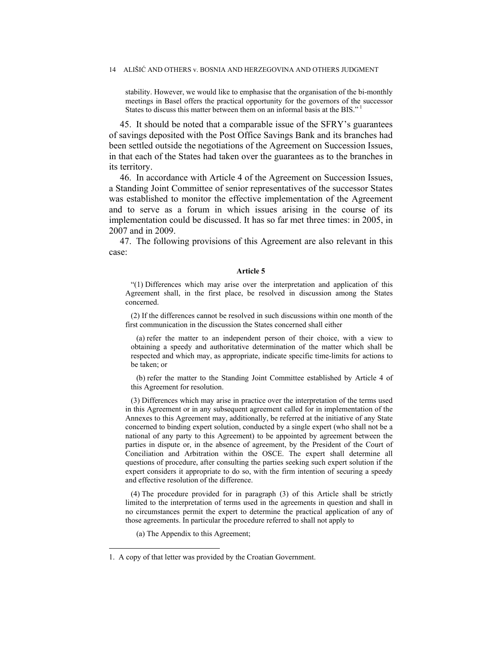stability. However, we would like to emphasise that the organisation of the bi-monthly meetings in Basel offers the practical opportunity for the governors of the successor States to discuss this matter between them on an informal basis at the BIS."

45. It should be noted that a comparable issue of the SFRY's guarantees of savings deposited with the Post Office Savings Bank and its branches had been settled outside the negotiations of the Agreement on Succession Issues, in that each of the States had taken over the guarantees as to the branches in its territory.

46. In accordance with Article 4 of the Agreement on Succession Issues, a Standing Joint Committee of senior representatives of the successor States was established to monitor the effective implementation of the Agreement and to serve as a forum in which issues arising in the course of its implementation could be discussed. It has so far met three times: in 2005, in 2007 and in 2009.

47. The following provisions of this Agreement are also relevant in this case:

#### **Article 5**

"(1) Differences which may arise over the interpretation and application of this Agreement shall, in the first place, be resolved in discussion among the States concerned.

(2) If the differences cannot be resolved in such discussions within one month of the first communication in the discussion the States concerned shall either

(a) refer the matter to an independent person of their choice, with a view to obtaining a speedy and authoritative determination of the matter which shall be respected and which may, as appropriate, indicate specific time-limits for actions to be taken; or

(b) refer the matter to the Standing Joint Committee established by Article 4 of this Agreement for resolution.

(3) Differences which may arise in practice over the interpretation of the terms used in this Agreement or in any subsequent agreement called for in implementation of the Annexes to this Agreement may, additionally, be referred at the initiative of any State concerned to binding expert solution, conducted by a single expert (who shall not be a national of any party to this Agreement) to be appointed by agreement between the parties in dispute or, in the absence of agreement, by the President of the Court of Conciliation and Arbitration within the OSCE. The expert shall determine all questions of procedure, after consulting the parties seeking such expert solution if the expert considers it appropriate to do so, with the firm intention of securing a speedy and effective resolution of the difference.

(4) The procedure provided for in paragraph (3) of this Article shall be strictly limited to the interpretation of terms used in the agreements in question and shall in no circumstances permit the expert to determine the practical application of any of those agreements. In particular the procedure referred to shall not apply to

(a) The Appendix to this Agreement;

 $\overline{a}$ 

<sup>1.</sup> A copy of that letter was provided by the Croatian Government.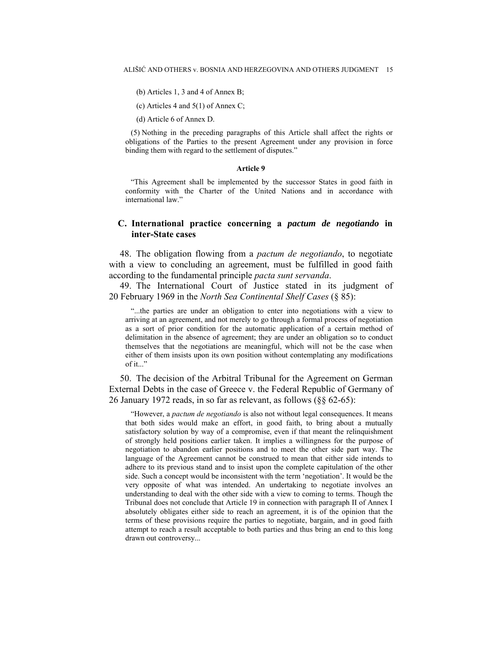- (b) Articles 1, 3 and 4 of Annex B;
- (c) Articles 4 and 5(1) of Annex C;
- (d) Article 6 of Annex D.

(5) Nothing in the preceding paragraphs of this Article shall affect the rights or obligations of the Parties to the present Agreement under any provision in force binding them with regard to the settlement of disputes."

#### **Article 9**

"This Agreement shall be implemented by the successor States in good faith in conformity with the Charter of the United Nations and in accordance with international law."

## **C. International practice concerning a** *pactum de negotiando* **in inter-State cases**

48. The obligation flowing from a *pactum de negotiando*, to negotiate with a view to concluding an agreement, must be fulfilled in good faith according to the fundamental principle *pacta sunt servanda*.

49. The International Court of Justice stated in its judgment of 20 February 1969 in the *North Sea Continental Shelf Cases* (§ 85):

"...the parties are under an obligation to enter into negotiations with a view to arriving at an agreement, and not merely to go through a formal process of negotiation as a sort of prior condition for the automatic application of a certain method of delimitation in the absence of agreement; they are under an obligation so to conduct themselves that the negotiations are meaningful, which will not be the case when either of them insists upon its own position without contemplating any modifications of it..."

50. The decision of the Arbitral Tribunal for the Agreement on German External Debts in the case of Greece v. the Federal Republic of Germany of 26 January 1972 reads, in so far as relevant, as follows (§§ 62-65):

"However, a *pactum de negotiando* is also not without legal consequences. It means that both sides would make an effort, in good faith, to bring about a mutually satisfactory solution by way of a compromise, even if that meant the relinquishment of strongly held positions earlier taken. It implies a willingness for the purpose of negotiation to abandon earlier positions and to meet the other side part way. The language of the Agreement cannot be construed to mean that either side intends to adhere to its previous stand and to insist upon the complete capitulation of the other side. Such a concept would be inconsistent with the term 'negotiation'. It would be the very opposite of what was intended. An undertaking to negotiate involves an understanding to deal with the other side with a view to coming to terms. Though the Tribunal does not conclude that Article 19 in connection with paragraph II of Annex I absolutely obligates either side to reach an agreement, it is of the opinion that the terms of these provisions require the parties to negotiate, bargain, and in good faith attempt to reach a result acceptable to both parties and thus bring an end to this long drawn out controversy...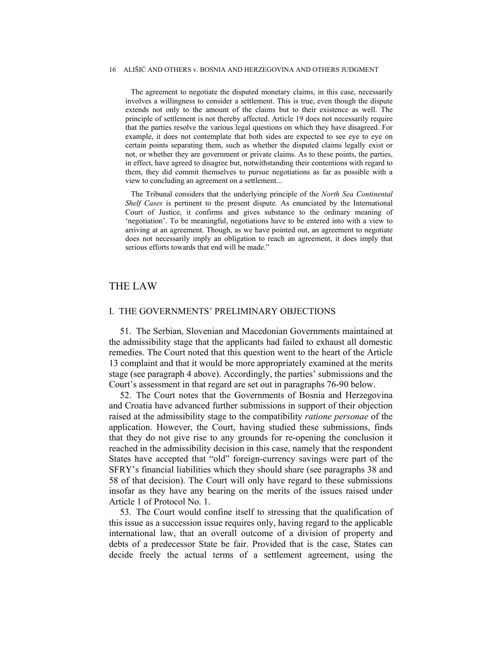The agreement to negotiate the disputed monetary claims, in this case, necessarily involves a willingness to consider a settlement. This is true, even though the dispute extends not only to the amount of the claims but to their existence as well. The principle of settlement is not thereby affected. Article 19 does not necessarily require that the parties resolve the various legal questions on which they have disagreed. For example, it does not contemplate that both sides are expected to see eye to eye on certain points separating them, such as whether the disputed claims legally exist or not, or whether they are government or private claims. As to these points, the parties, in effect, have agreed to disagree but, notwithstanding their contentions with regard to them, they did commit themselves to pursue negotiations as far as possible with a view to concluding an agreement on a settlement...

The Tribunal considers that the underlying principle of the *North Sea Continental Shelf Cases* is pertinent to the present dispute. As enunciated by the International Court of Justice, it confirms and gives substance to the ordinary meaning of 'negotiation'. To be meaningful, negotiations have to be entered into with a view to arriving at an agreement. Though, as we have pointed out, an agreement to negotiate does not necessarily imply an obligation to reach an agreement, it does imply that serious efforts towards that end will be made."

## THE LAW

### I. THE GOVERNMENTS' PRELIMINARY OBJECTIONS

51. The Serbian, Slovenian and Macedonian Governments maintained at the admissibility stage that the applicants had failed to exhaust all domestic remedies. The Court noted that this question went to the heart of the Article 13 complaint and that it would be more appropriately examined at the merits stage (see paragraph 4 above). Accordingly, the parties' submissions and the Court's assessment in that regard are set out in paragraphs 76-90 below.

52. The Court notes that the Governments of Bosnia and Herzegovina and Croatia have advanced further submissions in support of their objection raised at the admissibility stage to the compatibility *ratione personae* of the application. However, the Court, having studied these submissions, finds that they do not give rise to any grounds for re-opening the conclusion it reached in the admissibility decision in this case, namely that the respondent States have accepted that "old" foreign-currency savings were part of the SFRY's financial liabilities which they should share (see paragraphs 38 and 58 of that decision). The Court will only have regard to these submissions insofar as they have any bearing on the merits of the issues raised under Article 1 of Protocol No. 1.

53. The Court would confine itself to stressing that the qualification of this issue as a succession issue requires only, having regard to the applicable international law, that an overall outcome of a division of property and debts of a predecessor State be fair. Provided that is the case, States can decide freely the actual terms of a settlement agreement, using the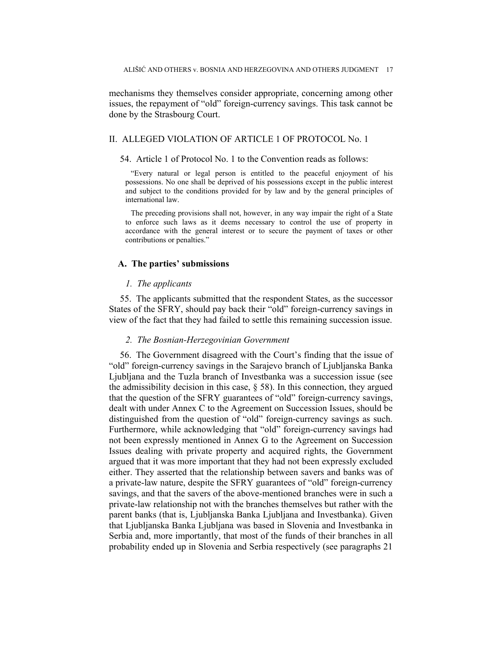mechanisms they themselves consider appropriate, concerning among other issues, the repayment of "old" foreign-currency savings. This task cannot be done by the Strasbourg Court.

### II. ALLEGED VIOLATION OF ARTICLE 1 OF PROTOCOL No. 1

#### 54. Article 1 of Protocol No. 1 to the Convention reads as follows:

"Every natural or legal person is entitled to the peaceful enjoyment of his possessions. No one shall be deprived of his possessions except in the public interest and subject to the conditions provided for by law and by the general principles of international law.

The preceding provisions shall not, however, in any way impair the right of a State to enforce such laws as it deems necessary to control the use of property in accordance with the general interest or to secure the payment of taxes or other contributions or penalties."

#### **A. The parties' submissions**

### *1. The applicants*

55. The applicants submitted that the respondent States, as the successor States of the SFRY, should pay back their "old" foreign-currency savings in view of the fact that they had failed to settle this remaining succession issue.

#### *2. The Bosnian-Herzegovinian Government*

56. The Government disagreed with the Court's finding that the issue of "old" foreign-currency savings in the Sarajevo branch of Ljubljanska Banka Ljubljana and the Tuzla branch of Investbanka was a succession issue (see the admissibility decision in this case, § 58). In this connection, they argued that the question of the SFRY guarantees of "old" foreign-currency savings, dealt with under Annex C to the Agreement on Succession Issues, should be distinguished from the question of "old" foreign-currency savings as such. Furthermore, while acknowledging that "old" foreign-currency savings had not been expressly mentioned in Annex G to the Agreement on Succession Issues dealing with private property and acquired rights, the Government argued that it was more important that they had not been expressly excluded either. They asserted that the relationship between savers and banks was of a private-law nature, despite the SFRY guarantees of "old" foreign-currency savings, and that the savers of the above-mentioned branches were in such a private-law relationship not with the branches themselves but rather with the parent banks (that is, Ljubljanska Banka Ljubljana and Investbanka). Given that Ljubljanska Banka Ljubljana was based in Slovenia and Investbanka in Serbia and, more importantly, that most of the funds of their branches in all probability ended up in Slovenia and Serbia respectively (see paragraphs 21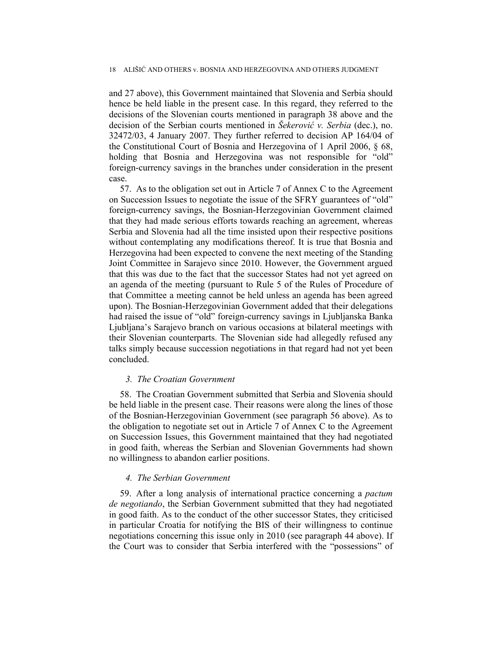and 27 above), this Government maintained that Slovenia and Serbia should hence be held liable in the present case. In this regard, they referred to the decisions of the Slovenian courts mentioned in paragraph 38 above and the decision of the Serbian courts mentioned in *Šekerović v. Serbia* (dec.), no. 32472/03, 4 January 2007. They further referred to decision AP 164/04 of the Constitutional Court of Bosnia and Herzegovina of 1 April 2006, § 68, holding that Bosnia and Herzegovina was not responsible for "old" foreign-currency savings in the branches under consideration in the present case.

57. As to the obligation set out in Article 7 of Annex C to the Agreement on Succession Issues to negotiate the issue of the SFRY guarantees of "old" foreign-currency savings, the Bosnian-Herzegovinian Government claimed that they had made serious efforts towards reaching an agreement, whereas Serbia and Slovenia had all the time insisted upon their respective positions without contemplating any modifications thereof. It is true that Bosnia and Herzegovina had been expected to convene the next meeting of the Standing Joint Committee in Sarajevo since 2010. However, the Government argued that this was due to the fact that the successor States had not yet agreed on an agenda of the meeting (pursuant to Rule 5 of the Rules of Procedure of that Committee a meeting cannot be held unless an agenda has been agreed upon). The Bosnian-Herzegovinian Government added that their delegations had raised the issue of "old" foreign-currency savings in Ljubljanska Banka Ljubljana's Sarajevo branch on various occasions at bilateral meetings with their Slovenian counterparts. The Slovenian side had allegedly refused any talks simply because succession negotiations in that regard had not yet been concluded.

#### *3. The Croatian Government*

58. The Croatian Government submitted that Serbia and Slovenia should be held liable in the present case. Their reasons were along the lines of those of the Bosnian-Herzegovinian Government (see paragraph 56 above). As to the obligation to negotiate set out in Article 7 of Annex C to the Agreement on Succession Issues, this Government maintained that they had negotiated in good faith, whereas the Serbian and Slovenian Governments had shown no willingness to abandon earlier positions.

### *4. The Serbian Government*

59. After a long analysis of international practice concerning a *pactum de negotiando*, the Serbian Government submitted that they had negotiated in good faith. As to the conduct of the other successor States, they criticised in particular Croatia for notifying the BIS of their willingness to continue negotiations concerning this issue only in 2010 (see paragraph 44 above). If the Court was to consider that Serbia interfered with the "possessions" of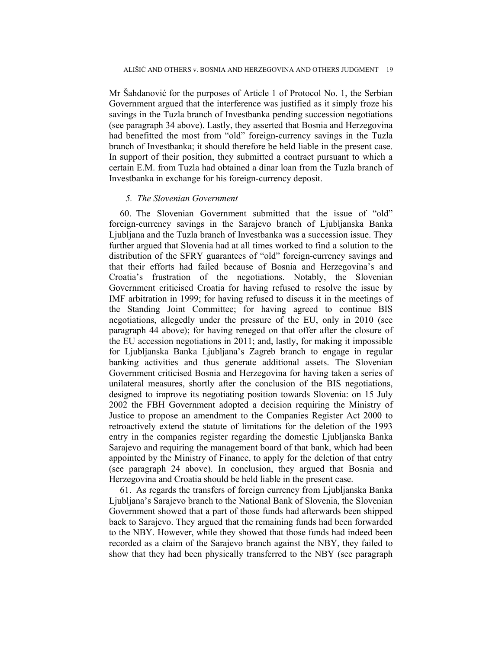Mr Šahdanović for the purposes of Article 1 of Protocol No. 1, the Serbian Government argued that the interference was justified as it simply froze his savings in the Tuzla branch of Investbanka pending succession negotiations (see paragraph 34 above). Lastly, they asserted that Bosnia and Herzegovina had benefitted the most from "old" foreign-currency savings in the Tuzla branch of Investbanka; it should therefore be held liable in the present case. In support of their position, they submitted a contract pursuant to which a certain E.M. from Tuzla had obtained a dinar loan from the Tuzla branch of Investbanka in exchange for his foreign-currency deposit.

## *5. The Slovenian Government*

60. The Slovenian Government submitted that the issue of "old" foreign-currency savings in the Sarajevo branch of Ljubljanska Banka Ljubljana and the Tuzla branch of Investbanka was a succession issue. They further argued that Slovenia had at all times worked to find a solution to the distribution of the SFRY guarantees of "old" foreign-currency savings and that their efforts had failed because of Bosnia and Herzegovina's and Croatia's frustration of the negotiations. Notably, the Slovenian Government criticised Croatia for having refused to resolve the issue by IMF arbitration in 1999; for having refused to discuss it in the meetings of the Standing Joint Committee; for having agreed to continue BIS negotiations, allegedly under the pressure of the EU, only in 2010 (see paragraph 44 above); for having reneged on that offer after the closure of the EU accession negotiations in 2011; and, lastly, for making it impossible for Ljubljanska Banka Ljubljana's Zagreb branch to engage in regular banking activities and thus generate additional assets. The Slovenian Government criticised Bosnia and Herzegovina for having taken a series of unilateral measures, shortly after the conclusion of the BIS negotiations, designed to improve its negotiating position towards Slovenia: on 15 July 2002 the FBH Government adopted a decision requiring the Ministry of Justice to propose an amendment to the Companies Register Act 2000 to retroactively extend the statute of limitations for the deletion of the 1993 entry in the companies register regarding the domestic Ljubljanska Banka Sarajevo and requiring the management board of that bank, which had been appointed by the Ministry of Finance, to apply for the deletion of that entry (see paragraph 24 above). In conclusion, they argued that Bosnia and Herzegovina and Croatia should be held liable in the present case.

61. As regards the transfers of foreign currency from Ljubljanska Banka Ljubljana's Sarajevo branch to the National Bank of Slovenia, the Slovenian Government showed that a part of those funds had afterwards been shipped back to Sarajevo. They argued that the remaining funds had been forwarded to the NBY. However, while they showed that those funds had indeed been recorded as a claim of the Sarajevo branch against the NBY, they failed to show that they had been physically transferred to the NBY (see paragraph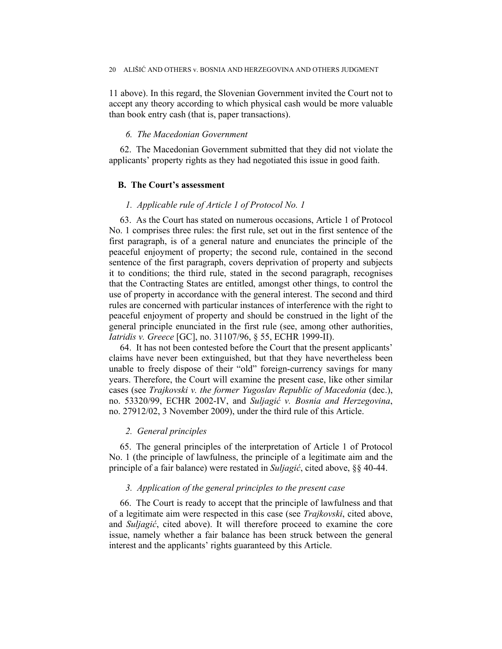11 above). In this regard, the Slovenian Government invited the Court not to accept any theory according to which physical cash would be more valuable than book entry cash (that is, paper transactions).

## *6. The Macedonian Government*

62. The Macedonian Government submitted that they did not violate the applicants' property rights as they had negotiated this issue in good faith.

## **B. The Court's assessment**

## *1. Applicable rule of Article 1 of Protocol No. 1*

63. As the Court has stated on numerous occasions, Article 1 of Protocol No. 1 comprises three rules: the first rule, set out in the first sentence of the first paragraph, is of a general nature and enunciates the principle of the peaceful enjoyment of property; the second rule, contained in the second sentence of the first paragraph, covers deprivation of property and subjects it to conditions; the third rule, stated in the second paragraph, recognises that the Contracting States are entitled, amongst other things, to control the use of property in accordance with the general interest. The second and third rules are concerned with particular instances of interference with the right to peaceful enjoyment of property and should be construed in the light of the general principle enunciated in the first rule (see, among other authorities, *Iatridis v. Greece* [GC], no. 31107/96, § 55, ECHR 1999-II).

64. It has not been contested before the Court that the present applicants' claims have never been extinguished, but that they have nevertheless been unable to freely dispose of their "old" foreign-currency savings for many years. Therefore, the Court will examine the present case, like other similar cases (see *Trajkovski v. the former Yugoslav Republic of Macedonia* (dec.), no. 53320/99, ECHR 2002-IV, and *Suljagić v. Bosnia and Herzegovina*, no. 27912/02, 3 November 2009), under the third rule of this Article.

### *2. General principles*

65. The general principles of the interpretation of Article 1 of Protocol No. 1 (the principle of lawfulness, the principle of a legitimate aim and the principle of a fair balance) were restated in *Suljagić*, cited above, §§ 40-44.

### *3. Application of the general principles to the present case*

66. The Court is ready to accept that the principle of lawfulness and that of a legitimate aim were respected in this case (see *Trajkovski*, cited above, and *Suljagić*, cited above). It will therefore proceed to examine the core issue, namely whether a fair balance has been struck between the general interest and the applicants' rights guaranteed by this Article.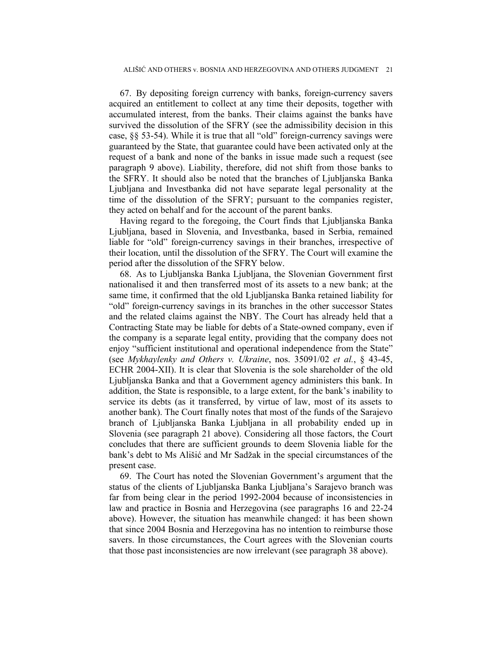67. By depositing foreign currency with banks, foreign-currency savers acquired an entitlement to collect at any time their deposits, together with accumulated interest, from the banks. Their claims against the banks have survived the dissolution of the SFRY (see the admissibility decision in this case, §§ 53-54). While it is true that all "old" foreign-currency savings were guaranteed by the State, that guarantee could have been activated only at the request of a bank and none of the banks in issue made such a request (see paragraph 9 above). Liability, therefore, did not shift from those banks to the SFRY. It should also be noted that the branches of Ljubljanska Banka Ljubljana and Investbanka did not have separate legal personality at the time of the dissolution of the SFRY; pursuant to the companies register, they acted on behalf and for the account of the parent banks.

Having regard to the foregoing, the Court finds that Ljubljanska Banka Ljubljana, based in Slovenia, and Investbanka, based in Serbia, remained liable for "old" foreign-currency savings in their branches, irrespective of their location, until the dissolution of the SFRY. The Court will examine the period after the dissolution of the SFRY below.

68. As to Ljubljanska Banka Ljubljana, the Slovenian Government first nationalised it and then transferred most of its assets to a new bank; at the same time, it confirmed that the old Ljubljanska Banka retained liability for "old" foreign-currency savings in its branches in the other successor States and the related claims against the NBY. The Court has already held that a Contracting State may be liable for debts of a State-owned company, even if the company is a separate legal entity, providing that the company does not enjoy "sufficient institutional and operational independence from the State" (see *Mykhaylenky and Others v. Ukraine*, nos. 35091/02 *et al.*, § 43-45, ECHR 2004-XII). It is clear that Slovenia is the sole shareholder of the old Ljubljanska Banka and that a Government agency administers this bank. In addition, the State is responsible, to a large extent, for the bank's inability to service its debts (as it transferred, by virtue of law, most of its assets to another bank). The Court finally notes that most of the funds of the Sarajevo branch of Ljubljanska Banka Ljubljana in all probability ended up in Slovenia (see paragraph 21 above). Considering all those factors, the Court concludes that there are sufficient grounds to deem Slovenia liable for the bank's debt to Ms Ališić and Mr Sadžak in the special circumstances of the present case.

69. The Court has noted the Slovenian Government's argument that the status of the clients of Ljubljanska Banka Ljubljana's Sarajevo branch was far from being clear in the period 1992-2004 because of inconsistencies in law and practice in Bosnia and Herzegovina (see paragraphs 16 and 22-24 above). However, the situation has meanwhile changed: it has been shown that since 2004 Bosnia and Herzegovina has no intention to reimburse those savers. In those circumstances, the Court agrees with the Slovenian courts that those past inconsistencies are now irrelevant (see paragraph 38 above).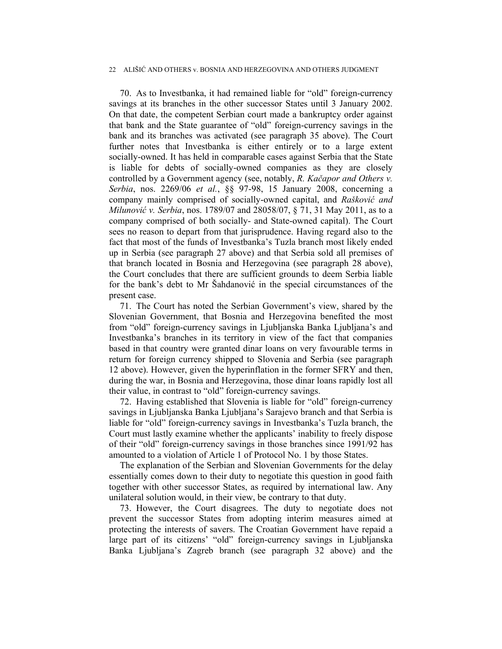70. As to Investbanka, it had remained liable for "old" foreign-currency savings at its branches in the other successor States until 3 January 2002. On that date, the competent Serbian court made a bankruptcy order against that bank and the State guarantee of "old" foreign-currency savings in the bank and its branches was activated (see paragraph 35 above). The Court further notes that Investbanka is either entirely or to a large extent socially-owned. It has held in comparable cases against Serbia that the State is liable for debts of socially-owned companies as they are closely controlled by a Government agency (see, notably, *R. Kačapor and Others v. Serbia*, nos. 2269/06 *et al.*, §§ 97-98, 15 January 2008, concerning a company mainly comprised of socially-owned capital, and *Rašković and Milunović v. Serbia*, nos. 1789/07 and 28058/07, § 71, 31 May 2011, as to a company comprised of both socially- and State-owned capital). The Court sees no reason to depart from that jurisprudence. Having regard also to the fact that most of the funds of Investbanka's Tuzla branch most likely ended up in Serbia (see paragraph 27 above) and that Serbia sold all premises of that branch located in Bosnia and Herzegovina (see paragraph 28 above), the Court concludes that there are sufficient grounds to deem Serbia liable for the bank's debt to Mr Šahdanović in the special circumstances of the present case.

71. The Court has noted the Serbian Government's view, shared by the Slovenian Government, that Bosnia and Herzegovina benefited the most from "old" foreign-currency savings in Ljubljanska Banka Ljubljana's and Investbanka's branches in its territory in view of the fact that companies based in that country were granted dinar loans on very favourable terms in return for foreign currency shipped to Slovenia and Serbia (see paragraph 12 above). However, given the hyperinflation in the former SFRY and then, during the war, in Bosnia and Herzegovina, those dinar loans rapidly lost all their value, in contrast to "old" foreign-currency savings.

72. Having established that Slovenia is liable for "old" foreign-currency savings in Ljubljanska Banka Ljubljana's Sarajevo branch and that Serbia is liable for "old" foreign-currency savings in Investbanka's Tuzla branch, the Court must lastly examine whether the applicants' inability to freely dispose of their "old" foreign-currency savings in those branches since 1991/92 has amounted to a violation of Article 1 of Protocol No. 1 by those States.

The explanation of the Serbian and Slovenian Governments for the delay essentially comes down to their duty to negotiate this question in good faith together with other successor States, as required by international law. Any unilateral solution would, in their view, be contrary to that duty.

73. However, the Court disagrees. The duty to negotiate does not prevent the successor States from adopting interim measures aimed at protecting the interests of savers. The Croatian Government have repaid a large part of its citizens' "old" foreign-currency savings in Ljubljanska Banka Ljubljana's Zagreb branch (see paragraph 32 above) and the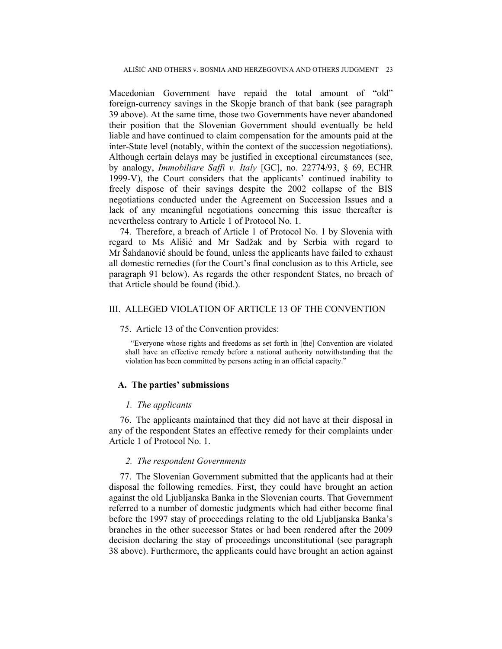Macedonian Government have repaid the total amount of "old" foreign-currency savings in the Skopje branch of that bank (see paragraph 39 above). At the same time, those two Governments have never abandoned their position that the Slovenian Government should eventually be held liable and have continued to claim compensation for the amounts paid at the inter-State level (notably, within the context of the succession negotiations). Although certain delays may be justified in exceptional circumstances (see, by analogy, *Immobiliare Saffi v. Italy* [GC], no. 22774/93, § 69, ECHR 1999-V), the Court considers that the applicants' continued inability to freely dispose of their savings despite the 2002 collapse of the BIS negotiations conducted under the Agreement on Succession Issues and a lack of any meaningful negotiations concerning this issue thereafter is nevertheless contrary to Article 1 of Protocol No. 1.

74. Therefore, a breach of Article 1 of Protocol No. 1 by Slovenia with regard to Ms Ališić and Mr Sadžak and by Serbia with regard to Mr Šahdanović should be found, unless the applicants have failed to exhaust all domestic remedies (for the Court's final conclusion as to this Article, see paragraph 91 below). As regards the other respondent States, no breach of that Article should be found (ibid.).

### III. ALLEGED VIOLATION OF ARTICLE 13 OF THE CONVENTION

#### 75. Article 13 of the Convention provides:

"Everyone whose rights and freedoms as set forth in [the] Convention are violated shall have an effective remedy before a national authority notwithstanding that the violation has been committed by persons acting in an official capacity."

## **A. The parties' submissions**

## *1. The applicants*

76. The applicants maintained that they did not have at their disposal in any of the respondent States an effective remedy for their complaints under Article 1 of Protocol No. 1.

#### *2. The respondent Governments*

77. The Slovenian Government submitted that the applicants had at their disposal the following remedies. First, they could have brought an action against the old Ljubljanska Banka in the Slovenian courts. That Government referred to a number of domestic judgments which had either become final before the 1997 stay of proceedings relating to the old Ljubljanska Banka's branches in the other successor States or had been rendered after the 2009 decision declaring the stay of proceedings unconstitutional (see paragraph 38 above). Furthermore, the applicants could have brought an action against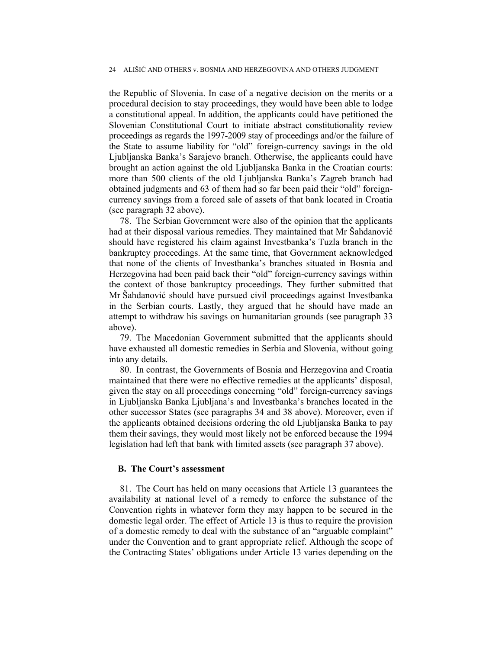the Republic of Slovenia. In case of a negative decision on the merits or a procedural decision to stay proceedings, they would have been able to lodge a constitutional appeal. In addition, the applicants could have petitioned the Slovenian Constitutional Court to initiate abstract constitutionality review proceedings as regards the 1997-2009 stay of proceedings and/or the failure of the State to assume liability for "old" foreign-currency savings in the old Ljubljanska Banka's Sarajevo branch. Otherwise, the applicants could have brought an action against the old Ljubljanska Banka in the Croatian courts: more than 500 clients of the old Ljubljanska Banka's Zagreb branch had obtained judgments and 63 of them had so far been paid their "old" foreigncurrency savings from a forced sale of assets of that bank located in Croatia (see paragraph 32 above).

78. The Serbian Government were also of the opinion that the applicants had at their disposal various remedies. They maintained that Mr Šahdanović should have registered his claim against Investbanka's Tuzla branch in the bankruptcy proceedings. At the same time, that Government acknowledged that none of the clients of Investbanka's branches situated in Bosnia and Herzegovina had been paid back their "old" foreign-currency savings within the context of those bankruptcy proceedings. They further submitted that Mr Šahdanović should have pursued civil proceedings against Investbanka in the Serbian courts. Lastly, they argued that he should have made an attempt to withdraw his savings on humanitarian grounds (see paragraph 33 above).

79. The Macedonian Government submitted that the applicants should have exhausted all domestic remedies in Serbia and Slovenia, without going into any details.

80. In contrast, the Governments of Bosnia and Herzegovina and Croatia maintained that there were no effective remedies at the applicants' disposal, given the stay on all proceedings concerning "old" foreign-currency savings in Ljubljanska Banka Ljubljana's and Investbanka's branches located in the other successor States (see paragraphs 34 and 38 above). Moreover, even if the applicants obtained decisions ordering the old Ljubljanska Banka to pay them their savings, they would most likely not be enforced because the 1994 legislation had left that bank with limited assets (see paragraph 37 above).

### **B. The Court's assessment**

81. The Court has held on many occasions that Article 13 guarantees the availability at national level of a remedy to enforce the substance of the Convention rights in whatever form they may happen to be secured in the domestic legal order. The effect of Article 13 is thus to require the provision of a domestic remedy to deal with the substance of an "arguable complaint" under the Convention and to grant appropriate relief. Although the scope of the Contracting States' obligations under Article 13 varies depending on the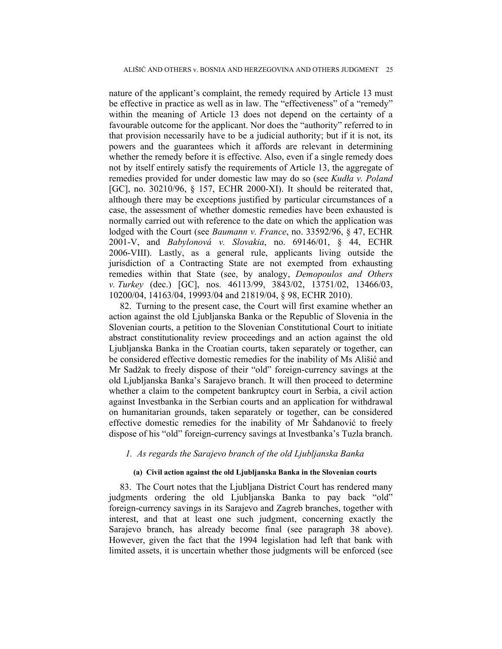nature of the applicant's complaint, the remedy required by Article 13 must be effective in practice as well as in law. The "effectiveness" of a "remedy" within the meaning of Article 13 does not depend on the certainty of a favourable outcome for the applicant. Nor does the "authority" referred to in that provision necessarily have to be a judicial authority; but if it is not, its powers and the guarantees which it affords are relevant in determining whether the remedy before it is effective. Also, even if a single remedy does not by itself entirely satisfy the requirements of Article 13, the aggregate of remedies provided for under domestic law may do so (see *Kudła v. Poland*  [GC], no. 30210/96, § 157, ECHR 2000-XI). It should be reiterated that, although there may be exceptions justified by particular circumstances of a case, the assessment of whether domestic remedies have been exhausted is normally carried out with reference to the date on which the application was lodged with the Court (see *Baumann v. France*, no. 33592/96, § 47, ECHR 2001-V, and *Babylonová v. Slovakia*, no. 69146/01, § 44, ECHR 2006-VIII). Lastly, as a general rule, applicants living outside the jurisdiction of a Contracting State are not exempted from exhausting remedies within that State (see, by analogy, *Demopoulos and Others v. Turkey* (dec.) [GC], nos. 46113/99, 3843/02, 13751/02, 13466/03, 10200/04, 14163/04, 19993/04 and 21819/04, § 98, ECHR 2010).

82. Turning to the present case, the Court will first examine whether an action against the old Ljubljanska Banka or the Republic of Slovenia in the Slovenian courts, a petition to the Slovenian Constitutional Court to initiate abstract constitutionality review proceedings and an action against the old Ljubljanska Banka in the Croatian courts, taken separately or together, can be considered effective domestic remedies for the inability of Ms Ališić and Mr Sadžak to freely dispose of their "old" foreign-currency savings at the old Ljubljanska Banka's Sarajevo branch. It will then proceed to determine whether a claim to the competent bankruptcy court in Serbia, a civil action against Investbanka in the Serbian courts and an application for withdrawal on humanitarian grounds, taken separately or together, can be considered effective domestic remedies for the inability of Mr Šahdanović to freely dispose of his "old" foreign-currency savings at Investbanka's Tuzla branch.

### *1. As regards the Sarajevo branch of the old Ljubljanska Banka*

## **(a) Civil action against the old Ljubljanska Banka in the Slovenian courts**

83. The Court notes that the Ljubljana District Court has rendered many judgments ordering the old Ljubljanska Banka to pay back "old" foreign-currency savings in its Sarajevo and Zagreb branches, together with interest, and that at least one such judgment, concerning exactly the Sarajevo branch, has already become final (see paragraph 38 above). However, given the fact that the 1994 legislation had left that bank with limited assets, it is uncertain whether those judgments will be enforced (see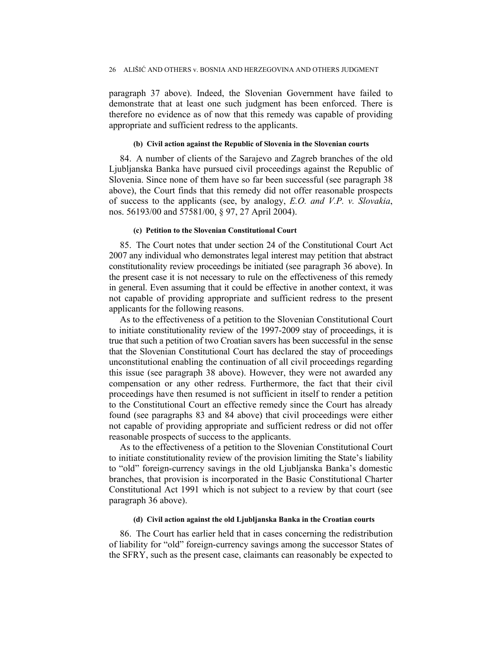paragraph 37 above). Indeed, the Slovenian Government have failed to demonstrate that at least one such judgment has been enforced. There is therefore no evidence as of now that this remedy was capable of providing appropriate and sufficient redress to the applicants.

#### **(b) Civil action against the Republic of Slovenia in the Slovenian courts**

84. A number of clients of the Sarajevo and Zagreb branches of the old Ljubljanska Banka have pursued civil proceedings against the Republic of Slovenia. Since none of them have so far been successful (see paragraph 38 above), the Court finds that this remedy did not offer reasonable prospects of success to the applicants (see, by analogy, *E.O. and V.P. v. Slovakia*, nos. 56193/00 and 57581/00, § 97, 27 April 2004).

#### **(c) Petition to the Slovenian Constitutional Court**

85. The Court notes that under section 24 of the Constitutional Court Act 2007 any individual who demonstrates legal interest may petition that abstract constitutionality review proceedings be initiated (see paragraph 36 above). In the present case it is not necessary to rule on the effectiveness of this remedy in general. Even assuming that it could be effective in another context, it was not capable of providing appropriate and sufficient redress to the present applicants for the following reasons.

As to the effectiveness of a petition to the Slovenian Constitutional Court to initiate constitutionality review of the 1997-2009 stay of proceedings, it is true that such a petition of two Croatian savers has been successful in the sense that the Slovenian Constitutional Court has declared the stay of proceedings unconstitutional enabling the continuation of all civil proceedings regarding this issue (see paragraph 38 above). However, they were not awarded any compensation or any other redress. Furthermore, the fact that their civil proceedings have then resumed is not sufficient in itself to render a petition to the Constitutional Court an effective remedy since the Court has already found (see paragraphs 83 and 84 above) that civil proceedings were either not capable of providing appropriate and sufficient redress or did not offer reasonable prospects of success to the applicants.

As to the effectiveness of a petition to the Slovenian Constitutional Court to initiate constitutionality review of the provision limiting the State's liability to "old" foreign-currency savings in the old Ljubljanska Banka's domestic branches, that provision is incorporated in the Basic Constitutional Charter Constitutional Act 1991 which is not subject to a review by that court (see paragraph 36 above).

#### **(d) Civil action against the old Ljubljanska Banka in the Croatian courts**

86. The Court has earlier held that in cases concerning the redistribution of liability for "old" foreign-currency savings among the successor States of the SFRY, such as the present case, claimants can reasonably be expected to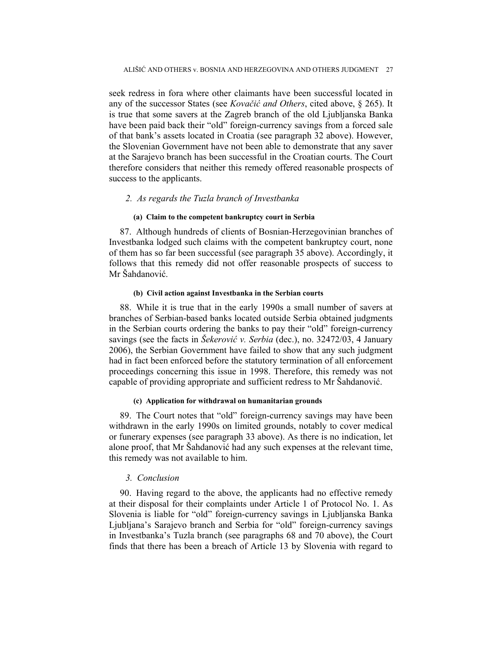seek redress in fora where other claimants have been successful located in any of the successor States (see *Kovačić and Others*, cited above, § 265). It is true that some savers at the Zagreb branch of the old Ljubljanska Banka have been paid back their "old" foreign-currency savings from a forced sale of that bank's assets located in Croatia (see paragraph 32 above). However, the Slovenian Government have not been able to demonstrate that any saver at the Sarajevo branch has been successful in the Croatian courts. The Court therefore considers that neither this remedy offered reasonable prospects of success to the applicants.

### *2. As regards the Tuzla branch of Investbanka*

#### **(a) Claim to the competent bankruptcy court in Serbia**

87. Although hundreds of clients of Bosnian-Herzegovinian branches of Investbanka lodged such claims with the competent bankruptcy court, none of them has so far been successful (see paragraph 35 above). Accordingly, it follows that this remedy did not offer reasonable prospects of success to Mr Šahdanović.

#### **(b) Civil action against Investbanka in the Serbian courts**

88. While it is true that in the early 1990s a small number of savers at branches of Serbian-based banks located outside Serbia obtained judgments in the Serbian courts ordering the banks to pay their "old" foreign-currency savings (see the facts in *Šekerović v. Serbia* (dec.), no. 32472/03, 4 January 2006), the Serbian Government have failed to show that any such judgment had in fact been enforced before the statutory termination of all enforcement proceedings concerning this issue in 1998. Therefore, this remedy was not capable of providing appropriate and sufficient redress to Mr Šahdanović.

## **(c) Application for withdrawal on humanitarian grounds**

89. The Court notes that "old" foreign-currency savings may have been withdrawn in the early 1990s on limited grounds, notably to cover medical or funerary expenses (see paragraph 33 above). As there is no indication, let alone proof, that Mr Šahdanović had any such expenses at the relevant time, this remedy was not available to him.

## *3. Conclusion*

90. Having regard to the above, the applicants had no effective remedy at their disposal for their complaints under Article 1 of Protocol No. 1. As Slovenia is liable for "old" foreign-currency savings in Ljubljanska Banka Ljubljana's Sarajevo branch and Serbia for "old" foreign-currency savings in Investbanka's Tuzla branch (see paragraphs 68 and 70 above), the Court finds that there has been a breach of Article 13 by Slovenia with regard to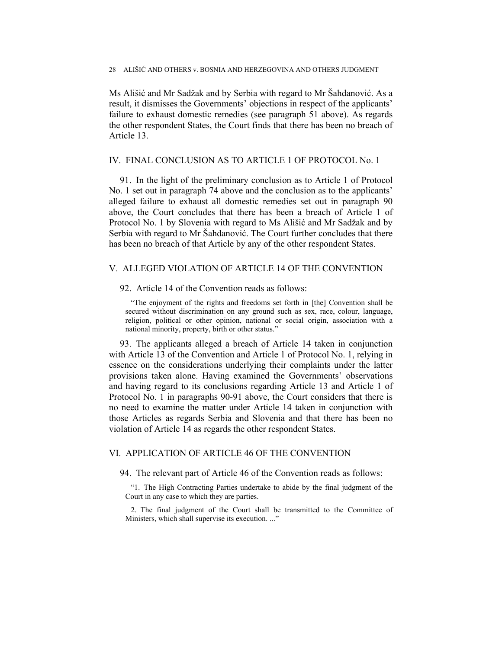Ms Ališić and Mr Sadžak and by Serbia with regard to Mr Šahdanović. As a result, it dismisses the Governments' objections in respect of the applicants' failure to exhaust domestic remedies (see paragraph 51 above). As regards the other respondent States, the Court finds that there has been no breach of Article 13.

### IV. FINAL CONCLUSION AS TO ARTICLE 1 OF PROTOCOL No. 1

91. In the light of the preliminary conclusion as to Article 1 of Protocol No. 1 set out in paragraph 74 above and the conclusion as to the applicants' alleged failure to exhaust all domestic remedies set out in paragraph 90 above, the Court concludes that there has been a breach of Article 1 of Protocol No. 1 by Slovenia with regard to Ms Ališić and Mr Sadžak and by Serbia with regard to Mr Šahdanović. The Court further concludes that there has been no breach of that Article by any of the other respondent States.

### V. ALLEGED VIOLATION OF ARTICLE 14 OF THE CONVENTION

## 92. Article 14 of the Convention reads as follows:

"The enjoyment of the rights and freedoms set forth in [the] Convention shall be secured without discrimination on any ground such as sex, race, colour, language, religion, political or other opinion, national or social origin, association with a national minority, property, birth or other status."

93. The applicants alleged a breach of Article 14 taken in conjunction with Article 13 of the Convention and Article 1 of Protocol No. 1, relying in essence on the considerations underlying their complaints under the latter provisions taken alone. Having examined the Governments' observations and having regard to its conclusions regarding Article 13 and Article 1 of Protocol No. 1 in paragraphs 90-91 above, the Court considers that there is no need to examine the matter under Article 14 taken in conjunction with those Articles as regards Serbia and Slovenia and that there has been no violation of Article 14 as regards the other respondent States.

## VI. APPLICATION OF ARTICLE 46 OF THE CONVENTION

94. The relevant part of Article 46 of the Convention reads as follows:

"1. The High Contracting Parties undertake to abide by the final judgment of the Court in any case to which they are parties.

2. The final judgment of the Court shall be transmitted to the Committee of Ministers, which shall supervise its execution. ..."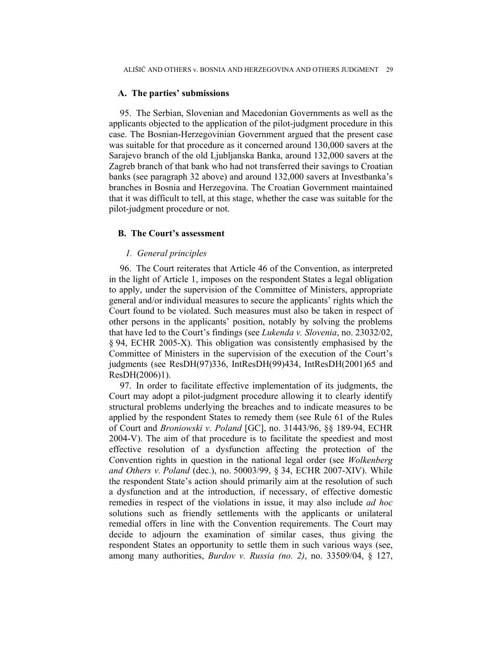### **A. The parties' submissions**

95. The Serbian, Slovenian and Macedonian Governments as well as the applicants objected to the application of the pilot-judgment procedure in this case. The Bosnian-Herzegovinian Government argued that the present case was suitable for that procedure as it concerned around 130,000 savers at the Sarajevo branch of the old Ljubljanska Banka, around 132,000 savers at the Zagreb branch of that bank who had not transferred their savings to Croatian banks (see paragraph 32 above) and around 132,000 savers at Investbanka's branches in Bosnia and Herzegovina. The Croatian Government maintained that it was difficult to tell, at this stage, whether the case was suitable for the pilot-judgment procedure or not.

### **B. The Court's assessment**

## *1. General principles*

96. The Court reiterates that Article 46 of the Convention, as interpreted in the light of Article 1, imposes on the respondent States a legal obligation to apply, under the supervision of the Committee of Ministers, appropriate general and/or individual measures to secure the applicants' rights which the Court found to be violated. Such measures must also be taken in respect of other persons in the applicants' position, notably by solving the problems that have led to the Court's findings (see *Lukenda v. Slovenia*, no. 23032/02, § 94, ECHR 2005-X). This obligation was consistently emphasised by the Committee of Ministers in the supervision of the execution of the Court's judgments (see ResDH(97)336, IntResDH(99)434, IntResDH(2001)65 and ResDH(2006)1).

97. In order to facilitate effective implementation of its judgments, the Court may adopt a pilot-judgment procedure allowing it to clearly identify structural problems underlying the breaches and to indicate measures to be applied by the respondent States to remedy them (see Rule 61 of the Rules of Court and *Broniowski v. Poland* [GC], no. 31443/96, §§ 189-94, ECHR 2004-V). The aim of that procedure is to facilitate the speediest and most effective resolution of a dysfunction affecting the protection of the Convention rights in question in the national legal order (see *Wolkenberg and Others v. Poland* (dec.), no. 50003/99, § 34, ECHR 2007-XIV). While the respondent State's action should primarily aim at the resolution of such a dysfunction and at the introduction, if necessary, of effective domestic remedies in respect of the violations in issue, it may also include *ad hoc* solutions such as friendly settlements with the applicants or unilateral remedial offers in line with the Convention requirements. The Court may decide to adjourn the examination of similar cases, thus giving the respondent States an opportunity to settle them in such various ways (see, among many authorities, *Burdov v. Russia (no. 2)*, no. 33509/04, § 127,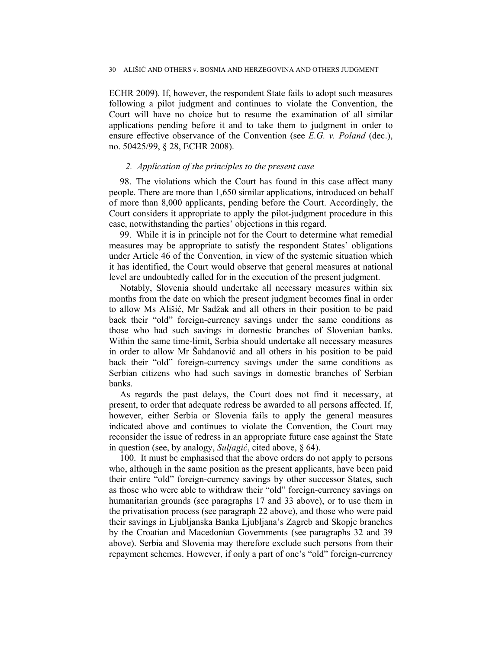ECHR 2009). If, however, the respondent State fails to adopt such measures following a pilot judgment and continues to violate the Convention, the Court will have no choice but to resume the examination of all similar applications pending before it and to take them to judgment in order to ensure effective observance of the Convention (see *E.G. v. Poland* (dec.), no. 50425/99, § 28, ECHR 2008).

### *2. Application of the principles to the present case*

98. The violations which the Court has found in this case affect many people. There are more than 1,650 similar applications, introduced on behalf of more than 8,000 applicants, pending before the Court. Accordingly, the Court considers it appropriate to apply the pilot-judgment procedure in this case, notwithstanding the parties' objections in this regard.

99. While it is in principle not for the Court to determine what remedial measures may be appropriate to satisfy the respondent States' obligations under Article 46 of the Convention, in view of the systemic situation which it has identified, the Court would observe that general measures at national level are undoubtedly called for in the execution of the present judgment.

Notably, Slovenia should undertake all necessary measures within six months from the date on which the present judgment becomes final in order to allow Ms Ališić, Mr Sadžak and all others in their position to be paid back their "old" foreign-currency savings under the same conditions as those who had such savings in domestic branches of Slovenian banks. Within the same time-limit, Serbia should undertake all necessary measures in order to allow Mr Šahdanović and all others in his position to be paid back their "old" foreign-currency savings under the same conditions as Serbian citizens who had such savings in domestic branches of Serbian banks.

As regards the past delays, the Court does not find it necessary, at present, to order that adequate redress be awarded to all persons affected. If, however, either Serbia or Slovenia fails to apply the general measures indicated above and continues to violate the Convention, the Court may reconsider the issue of redress in an appropriate future case against the State in question (see, by analogy, *Suljagić*, cited above, § 64).

100. It must be emphasised that the above orders do not apply to persons who, although in the same position as the present applicants, have been paid their entire "old" foreign-currency savings by other successor States, such as those who were able to withdraw their "old" foreign-currency savings on humanitarian grounds (see paragraphs 17 and 33 above), or to use them in the privatisation process (see paragraph 22 above), and those who were paid their savings in Ljubljanska Banka Ljubljana's Zagreb and Skopje branches by the Croatian and Macedonian Governments (see paragraphs 32 and 39 above). Serbia and Slovenia may therefore exclude such persons from their repayment schemes. However, if only a part of one's "old" foreign-currency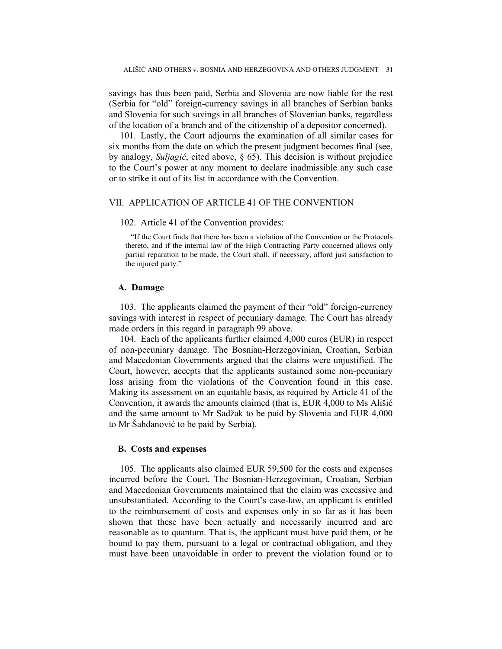savings has thus been paid, Serbia and Slovenia are now liable for the rest (Serbia for "old" foreign-currency savings in all branches of Serbian banks and Slovenia for such savings in all branches of Slovenian banks, regardless of the location of a branch and of the citizenship of a depositor concerned).

101. Lastly, the Court adjourns the examination of all similar cases for six months from the date on which the present judgment becomes final (see, by analogy, *Suljagić*, cited above, § 65). This decision is without prejudice to the Court's power at any moment to declare inadmissible any such case or to strike it out of its list in accordance with the Convention.

## VII. APPLICATION OF ARTICLE 41 OF THE CONVENTION

#### 102. Article 41 of the Convention provides:

"If the Court finds that there has been a violation of the Convention or the Protocols thereto, and if the internal law of the High Contracting Party concerned allows only partial reparation to be made, the Court shall, if necessary, afford just satisfaction to the injured party."

#### **A. Damage**

103. The applicants claimed the payment of their "old" foreign-currency savings with interest in respect of pecuniary damage. The Court has already made orders in this regard in paragraph 99 above.

104. Each of the applicants further claimed 4,000 euros (EUR) in respect of non-pecuniary damage. The Bosnian-Herzegovinian, Croatian, Serbian and Macedonian Governments argued that the claims were unjustified. The Court, however, accepts that the applicants sustained some non-pecuniary loss arising from the violations of the Convention found in this case. Making its assessment on an equitable basis, as required by Article 41 of the Convention, it awards the amounts claimed (that is, EUR 4,000 to Ms Ališić and the same amount to Mr Sadžak to be paid by Slovenia and EUR 4,000 to Mr Šahdanović to be paid by Serbia).

### **B. Costs and expenses**

105. The applicants also claimed EUR 59,500 for the costs and expenses incurred before the Court. The Bosnian-Herzegovinian, Croatian, Serbian and Macedonian Governments maintained that the claim was excessive and unsubstantiated. According to the Court's case-law, an applicant is entitled to the reimbursement of costs and expenses only in so far as it has been shown that these have been actually and necessarily incurred and are reasonable as to quantum. That is, the applicant must have paid them, or be bound to pay them, pursuant to a legal or contractual obligation, and they must have been unavoidable in order to prevent the violation found or to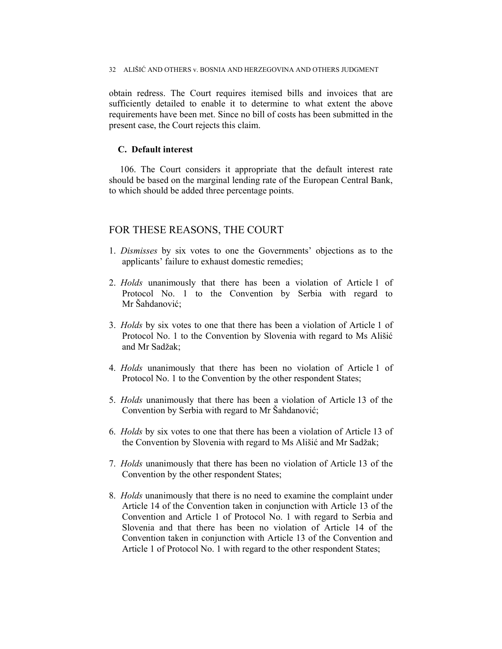obtain redress. The Court requires itemised bills and invoices that are sufficiently detailed to enable it to determine to what extent the above requirements have been met. Since no bill of costs has been submitted in the present case, the Court rejects this claim.

## **C. Default interest**

106. The Court considers it appropriate that the default interest rate should be based on the marginal lending rate of the European Central Bank, to which should be added three percentage points.

# FOR THESE REASONS, THE COURT

- 1. *Dismisses* by six votes to one the Governments' objections as to the applicants' failure to exhaust domestic remedies;
- 2. *Holds* unanimously that there has been a violation of Article 1 of Protocol No. 1 to the Convention by Serbia with regard to Mr Šahdanović;
- 3. *Holds* by six votes to one that there has been a violation of Article 1 of Protocol No. 1 to the Convention by Slovenia with regard to Ms Ališić and Mr Sadžak;
- 4. *Holds* unanimously that there has been no violation of Article 1 of Protocol No. 1 to the Convention by the other respondent States;
- 5. *Holds* unanimously that there has been a violation of Article 13 of the Convention by Serbia with regard to Mr Šahdanović;
- 6. *Holds* by six votes to one that there has been a violation of Article 13 of the Convention by Slovenia with regard to Ms Ališić and Mr Sadžak;
- 7. *Holds* unanimously that there has been no violation of Article 13 of the Convention by the other respondent States;
- 8. *Holds* unanimously that there is no need to examine the complaint under Article 14 of the Convention taken in conjunction with Article 13 of the Convention and Article 1 of Protocol No. 1 with regard to Serbia and Slovenia and that there has been no violation of Article 14 of the Convention taken in conjunction with Article 13 of the Convention and Article 1 of Protocol No. 1 with regard to the other respondent States;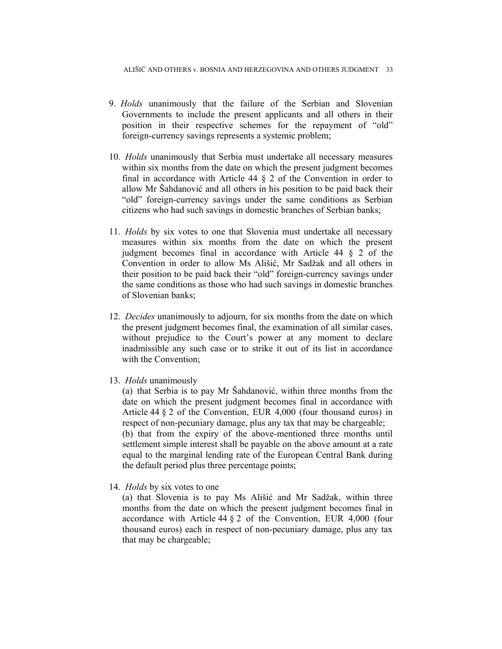- 9. *Holds* unanimously that the failure of the Serbian and Slovenian Governments to include the present applicants and all others in their position in their respective schemes for the repayment of "old" foreign-currency savings represents a systemic problem;
- 10. *Holds* unanimously that Serbia must undertake all necessary measures within six months from the date on which the present judgment becomes final in accordance with Article 44 § 2 of the Convention in order to allow Mr Šahdanović and all others in his position to be paid back their "old" foreign-currency savings under the same conditions as Serbian citizens who had such savings in domestic branches of Serbian banks;
- 11. *Holds* by six votes to one that Slovenia must undertake all necessary measures within six months from the date on which the present judgment becomes final in accordance with Article 44 § 2 of the Convention in order to allow Ms Ališić, Mr Sadžak and all others in their position to be paid back their "old" foreign-currency savings under the same conditions as those who had such savings in domestic branches of Slovenian banks;
- 12. *Decides* unanimously to adjourn, for six months from the date on which the present judgment becomes final, the examination of all similar cases, without prejudice to the Court's power at any moment to declare inadmissible any such case or to strike it out of its list in accordance with the Convention;
- 13. *Holds* unanimously

(a) that Serbia is to pay Mr Šahdanović, within three months from the date on which the present judgment becomes final in accordance with Article 44 § 2 of the Convention, EUR 4,000 (four thousand euros) in respect of non-pecuniary damage, plus any tax that may be chargeable; (b) that from the expiry of the above-mentioned three months until settlement simple interest shall be payable on the above amount at a rate equal to the marginal lending rate of the European Central Bank during the default period plus three percentage points;

14. *Holds* by six votes to one

(a) that Slovenia is to pay Ms Ališić and Mr Sadžak, within three months from the date on which the present judgment becomes final in accordance with Article 44 § 2 of the Convention, EUR 4,000 (four thousand euros) each in respect of non-pecuniary damage, plus any tax that may be chargeable;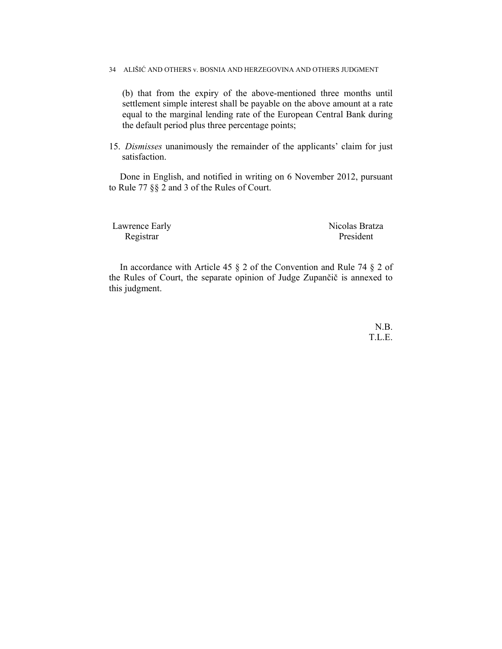(b) that from the expiry of the above-mentioned three months until settlement simple interest shall be payable on the above amount at a rate equal to the marginal lending rate of the European Central Bank during the default period plus three percentage points;

15. *Dismisses* unanimously the remainder of the applicants' claim for just satisfaction.

Done in English, and notified in writing on 6 November 2012, pursuant to Rule 77 §§ 2 and 3 of the Rules of Court.

Lawrence Early Nicolas Bratza Registrar President

In accordance with Article 45 § 2 of the Convention and Rule 74 § 2 of the Rules of Court, the separate opinion of Judge Zupančič is annexed to this judgment.

> N.B. T.L.E.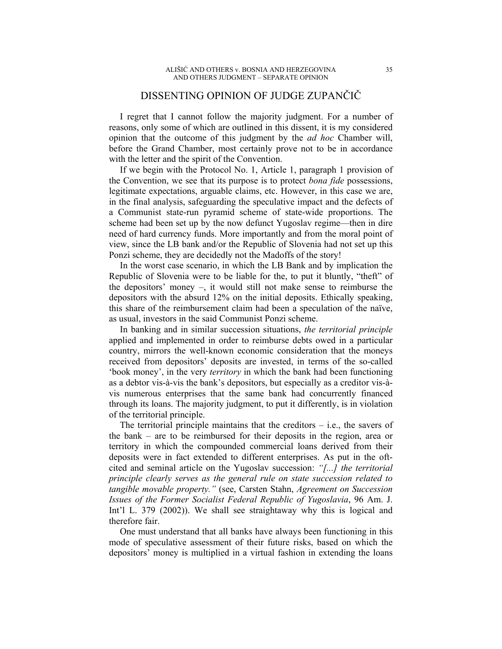# DISSENTING OPINION OF JUDGE ZUPANČIČ

I regret that I cannot follow the majority judgment. For a number of reasons, only some of which are outlined in this dissent, it is my considered opinion that the outcome of this judgment by the *ad hoc* Chamber will, before the Grand Chamber, most certainly prove not to be in accordance with the letter and the spirit of the Convention.

If we begin with the Protocol No. 1, Article 1, paragraph 1 provision of the Convention, we see that its purpose is to protect *bona fide* possessions, legitimate expectations, arguable claims, etc. However, in this case we are, in the final analysis, safeguarding the speculative impact and the defects of a Communist state-run pyramid scheme of state-wide proportions. The scheme had been set up by the now defunct Yugoslav regime—then in dire need of hard currency funds. More importantly and from the moral point of view, since the LB bank and/or the Republic of Slovenia had not set up this Ponzi scheme, they are decidedly not the Madoffs of the story!

In the worst case scenario, in which the LB Bank and by implication the Republic of Slovenia were to be liable for the, to put it bluntly, "theft" of the depositors' money –, it would still not make sense to reimburse the depositors with the absurd 12% on the initial deposits. Ethically speaking, this share of the reimbursement claim had been a speculation of the naïve, as usual, investors in the said Communist Ponzi scheme.

In banking and in similar succession situations, *the territorial principle* applied and implemented in order to reimburse debts owed in a particular country, mirrors the well-known economic consideration that the moneys received from depositors' deposits are invested, in terms of the so-called 'book money', in the very *territory* in which the bank had been functioning as a debtor vis-à-vis the bank's depositors, but especially as a creditor vis-àvis numerous enterprises that the same bank had concurrently financed through its loans. The majority judgment, to put it differently, is in violation of the territorial principle.

The territorial principle maintains that the creditors  $-$  i.e., the savers of the bank – are to be reimbursed for their deposits in the region, area or territory in which the compounded commercial loans derived from their deposits were in fact extended to different enterprises. As put in the oftcited and seminal article on the Yugoslav succession: *"[...] the territorial principle clearly serves as the general rule on state succession related to tangible movable property."* (see, Carsten Stahn, *Agreement on Succession Issues of the Former Socialist Federal Republic of Yugoslavia*, 96 Am. J. Int'l L. 379 (2002)). We shall see straightaway why this is logical and therefore fair.

One must understand that all banks have always been functioning in this mode of speculative assessment of their future risks, based on which the depositors' money is multiplied in a virtual fashion in extending the loans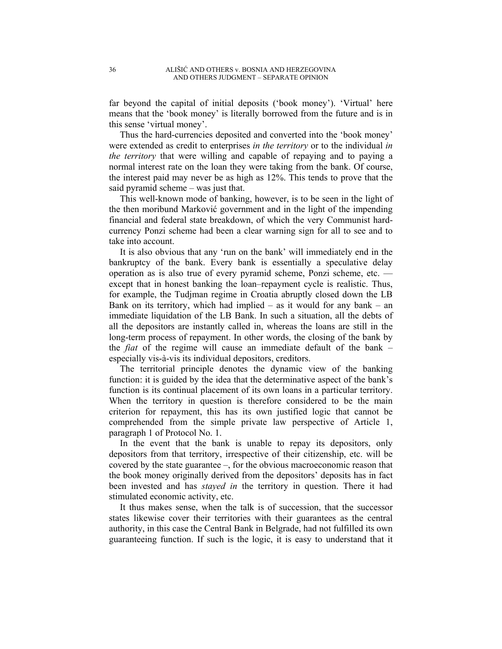far beyond the capital of initial deposits ('book money'). 'Virtual' here means that the 'book money' is literally borrowed from the future and is in this sense 'virtual money'.

Thus the hard-currencies deposited and converted into the 'book money' were extended as credit to enterprises *in the territory* or to the individual *in the territory* that were willing and capable of repaying and to paying a normal interest rate on the loan they were taking from the bank. Of course, the interest paid may never be as high as 12%. This tends to prove that the said pyramid scheme – was just that.

This well-known mode of banking, however, is to be seen in the light of the then moribund Marković government and in the light of the impending financial and federal state breakdown, of which the very Communist hardcurrency Ponzi scheme had been a clear warning sign for all to see and to take into account.

It is also obvious that any 'run on the bank' will immediately end in the bankruptcy of the bank. Every bank is essentially a speculative delay operation as is also true of every pyramid scheme, Ponzi scheme, etc. except that in honest banking the loan–repayment cycle is realistic. Thus, for example, the Tudjman regime in Croatia abruptly closed down the LB Bank on its territory, which had implied – as it would for any bank – an immediate liquidation of the LB Bank. In such a situation, all the debts of all the depositors are instantly called in, whereas the loans are still in the long-term process of repayment. In other words, the closing of the bank by the *fiat* of the regime will cause an immediate default of the bank – especially vis-à-vis its individual depositors, creditors.

The territorial principle denotes the dynamic view of the banking function: it is guided by the idea that the determinative aspect of the bank's function is its continual placement of its own loans in a particular territory. When the territory in question is therefore considered to be the main criterion for repayment, this has its own justified logic that cannot be comprehended from the simple private law perspective of Article 1, paragraph 1 of Protocol No. 1.

In the event that the bank is unable to repay its depositors, only depositors from that territory, irrespective of their citizenship, etc. will be covered by the state guarantee –, for the obvious macroeconomic reason that the book money originally derived from the depositors' deposits has in fact been invested and has *stayed in* the territory in question. There it had stimulated economic activity, etc.

It thus makes sense, when the talk is of succession, that the successor states likewise cover their territories with their guarantees as the central authority, in this case the Central Bank in Belgrade, had not fulfilled its own guaranteeing function. If such is the logic, it is easy to understand that it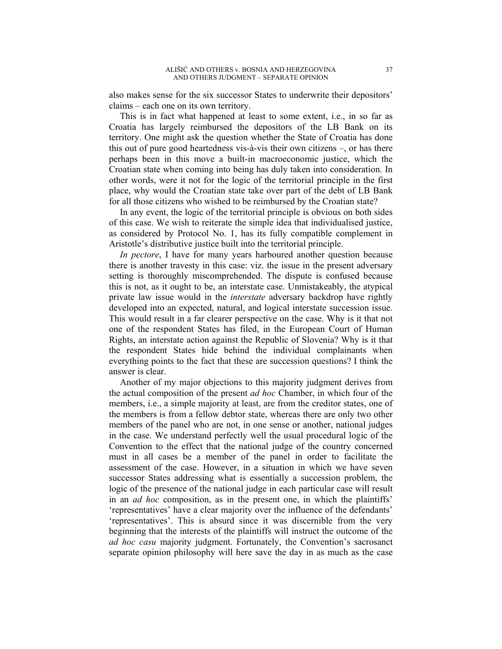also makes sense for the six successor States to underwrite their depositors' claims – each one on its own territory.

This is in fact what happened at least to some extent, i.e., in so far as Croatia has largely reimbursed the depositors of the LB Bank on its territory. One might ask the question whether the State of Croatia has done this out of pure good heartedness vis-à-vis their own citizens –, or has there perhaps been in this move a built-in macroeconomic justice, which the Croatian state when coming into being has duly taken into consideration. In other words, were it not for the logic of the territorial principle in the first place, why would the Croatian state take over part of the debt of LB Bank for all those citizens who wished to be reimbursed by the Croatian state?

In any event, the logic of the territorial principle is obvious on both sides of this case. We wish to reiterate the simple idea that individualised justice, as considered by Protocol No. 1, has its fully compatible complement in Aristotle's distributive justice built into the territorial principle.

*In pectore*, I have for many years harboured another question because there is another travesty in this case: viz. the issue in the present adversary setting is thoroughly miscomprehended. The dispute is confused because this is not, as it ought to be, an interstate case. Unmistakeably, the atypical private law issue would in the *interstate* adversary backdrop have rightly developed into an expected, natural, and logical interstate succession issue. This would result in a far clearer perspective on the case. Why is it that not one of the respondent States has filed, in the European Court of Human Rights, an interstate action against the Republic of Slovenia? Why is it that the respondent States hide behind the individual complainants when everything points to the fact that these are succession questions? I think the answer is clear.

Another of my major objections to this majority judgment derives from the actual composition of the present *ad hoc* Chamber, in which four of the members, i.e., a simple majority at least, are from the creditor states, one of the members is from a fellow debtor state, whereas there are only two other members of the panel who are not, in one sense or another, national judges in the case. We understand perfectly well the usual procedural logic of the Convention to the effect that the national judge of the country concerned must in all cases be a member of the panel in order to facilitate the assessment of the case. However, in a situation in which we have seven successor States addressing what is essentially a succession problem, the logic of the presence of the national judge in each particular case will result in an *ad hoc* composition, as in the present one, in which the plaintiffs' 'representatives' have a clear majority over the influence of the defendants' 'representatives'. This is absurd since it was discernible from the very beginning that the interests of the plaintiffs will instruct the outcome of the *ad hoc casu* majority judgment. Fortunately, the Convention's sacrosanct separate opinion philosophy will here save the day in as much as the case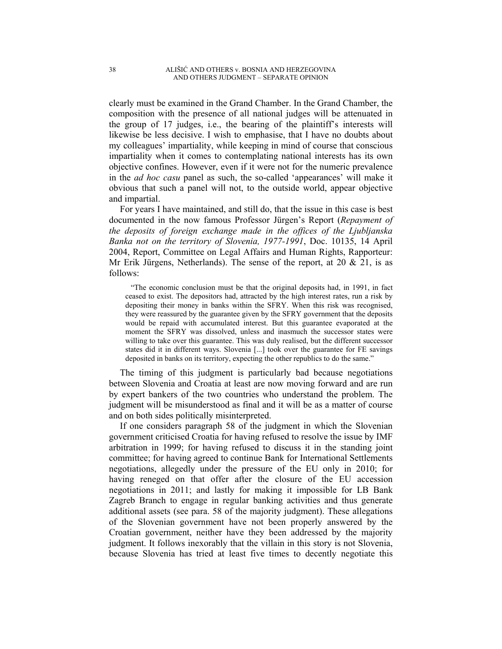clearly must be examined in the Grand Chamber. In the Grand Chamber, the composition with the presence of all national judges will be attenuated in the group of 17 judges, i.e., the bearing of the plaintiff's interests will likewise be less decisive. I wish to emphasise, that I have no doubts about my colleagues' impartiality, while keeping in mind of course that conscious impartiality when it comes to contemplating national interests has its own objective confines. However, even if it were not for the numeric prevalence in the *ad hoc casu* panel as such, the so-called 'appearances' will make it obvious that such a panel will not, to the outside world, appear objective and impartial.

For years I have maintained, and still do, that the issue in this case is best documented in the now famous Professor Jürgen's Report (*Repayment of the deposits of foreign exchange made in the offices of the Ljubljanska Banka not on the territory of Slovenia, 1977-1991*, Doc. 10135, 14 April 2004, Report, Committee on Legal Affairs and Human Rights, Rapporteur: Mr Erik Jürgens, Netherlands). The sense of the report, at  $20 \& 21$ , is as follows:

"The economic conclusion must be that the original deposits had, in 1991, in fact ceased to exist. The depositors had, attracted by the high interest rates, run a risk by depositing their money in banks within the SFRY. When this risk was recognised, they were reassured by the guarantee given by the SFRY government that the deposits would be repaid with accumulated interest. But this guarantee evaporated at the moment the SFRY was dissolved, unless and inasmuch the successor states were willing to take over this guarantee. This was duly realised, but the different successor states did it in different ways. Slovenia [...] took over the guarantee for FE savings deposited in banks on its territory, expecting the other republics to do the same."

The timing of this judgment is particularly bad because negotiations between Slovenia and Croatia at least are now moving forward and are run by expert bankers of the two countries who understand the problem. The judgment will be misunderstood as final and it will be as a matter of course and on both sides politically misinterpreted.

If one considers paragraph 58 of the judgment in which the Slovenian government criticised Croatia for having refused to resolve the issue by IMF arbitration in 1999; for having refused to discuss it in the standing joint committee; for having agreed to continue Bank for International Settlements negotiations, allegedly under the pressure of the EU only in 2010; for having reneged on that offer after the closure of the EU accession negotiations in 2011; and lastly for making it impossible for LB Bank Zagreb Branch to engage in regular banking activities and thus generate additional assets (see para. 58 of the majority judgment). These allegations of the Slovenian government have not been properly answered by the Croatian government, neither have they been addressed by the majority judgment. It follows inexorably that the villain in this story is not Slovenia, because Slovenia has tried at least five times to decently negotiate this